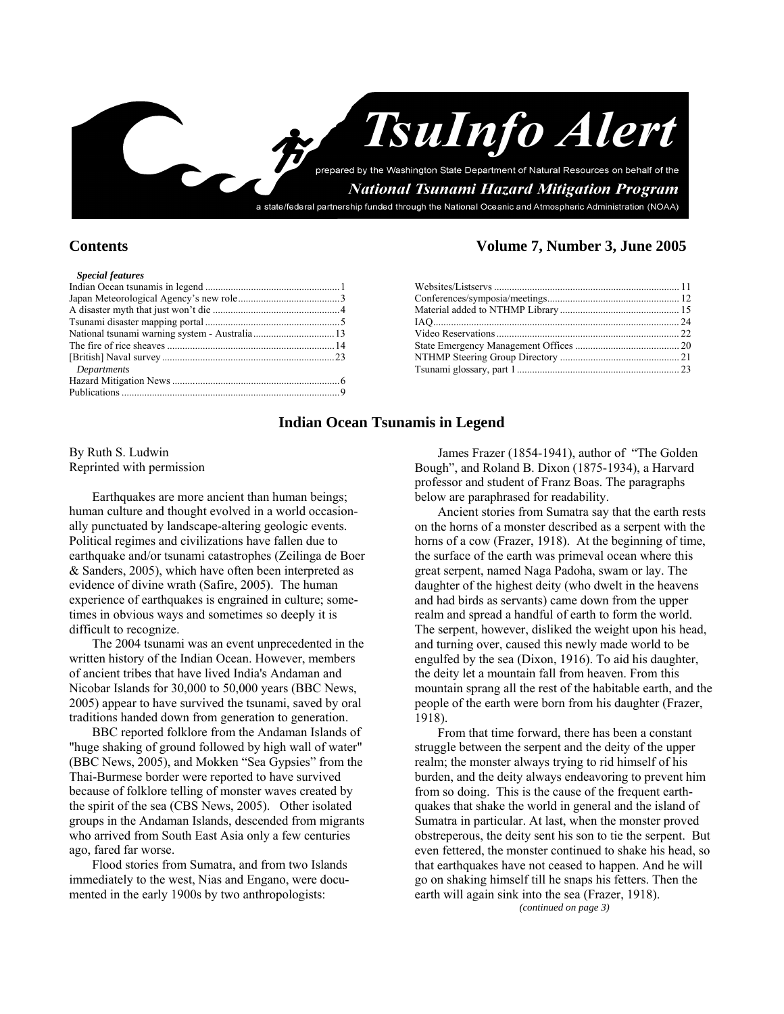

| <b>Special features</b> |
|-------------------------|
|                         |

| Departments |  |
|-------------|--|
|             |  |
|             |  |
|             |  |

### **Contents Volume 7, Number 3, June 2005**

### **Indian Ocean Tsunamis in Legend**

By Ruth S. Ludwin Reprinted with permission

Earthquakes are more ancient than human beings; human culture and thought evolved in a world occasionally punctuated by landscape-altering geologic events. Political regimes and civilizations have fallen due to earthquake and/or tsunami catastrophes (Zeilinga de Boer & Sanders, 2005), which have often been interpreted as evidence of divine wrath (Safire, 2005). The human experience of earthquakes is engrained in culture; sometimes in obvious ways and sometimes so deeply it is difficult to recognize.

The 2004 tsunami was an event unprecedented in the written history of the Indian Ocean. However, members of ancient tribes that have lived India's Andaman and Nicobar Islands for 30,000 to 50,000 years (BBC News, 2005) appear to have survived the tsunami, saved by oral traditions handed down from generation to generation.

BBC reported folklore from the Andaman Islands of "huge shaking of ground followed by high wall of water" (BBC News, 2005), and Mokken "Sea Gypsies" from the Thai-Burmese border were reported to have survived because of folklore telling of monster waves created by the spirit of the sea (CBS News, 2005). Other isolated groups in the Andaman Islands, descended from migrants who arrived from South East Asia only a few centuries ago, fared far worse.

Flood stories from Sumatra, and from two Islands immediately to the west, Nias and Engano, were documented in the early 1900s by two anthropologists:

James Frazer (1854-1941), author of "The Golden Bough", and Roland B. Dixon (1875-1934), a Harvard professor and student of Franz Boas. The paragraphs below are paraphrased for readability.

Ancient stories from Sumatra say that the earth rests on the horns of a monster described as a serpent with the horns of a cow (Frazer, 1918). At the beginning of time, the surface of the earth was primeval ocean where this great serpent, named Naga Padoha, swam or lay. The daughter of the highest deity (who dwelt in the heavens and had birds as servants) came down from the upper realm and spread a handful of earth to form the world. The serpent, however, disliked the weight upon his head, and turning over, caused this newly made world to be engulfed by the sea (Dixon, 1916). To aid his daughter, the deity let a mountain fall from heaven. From this mountain sprang all the rest of the habitable earth, and the people of the earth were born from his daughter (Frazer, 1918).

From that time forward, there has been a constant struggle between the serpent and the deity of the upper realm; the monster always trying to rid himself of his burden, and the deity always endeavoring to prevent him from so doing. This is the cause of the frequent earthquakes that shake the world in general and the island of Sumatra in particular. At last, when the monster proved obstreperous, the deity sent his son to tie the serpent. But even fettered, the monster continued to shake his head, so that earthquakes have not ceased to happen. And he will go on shaking himself till he snaps his fetters. Then the earth will again sink into the sea (Frazer, 1918).

*(continued on page 3)*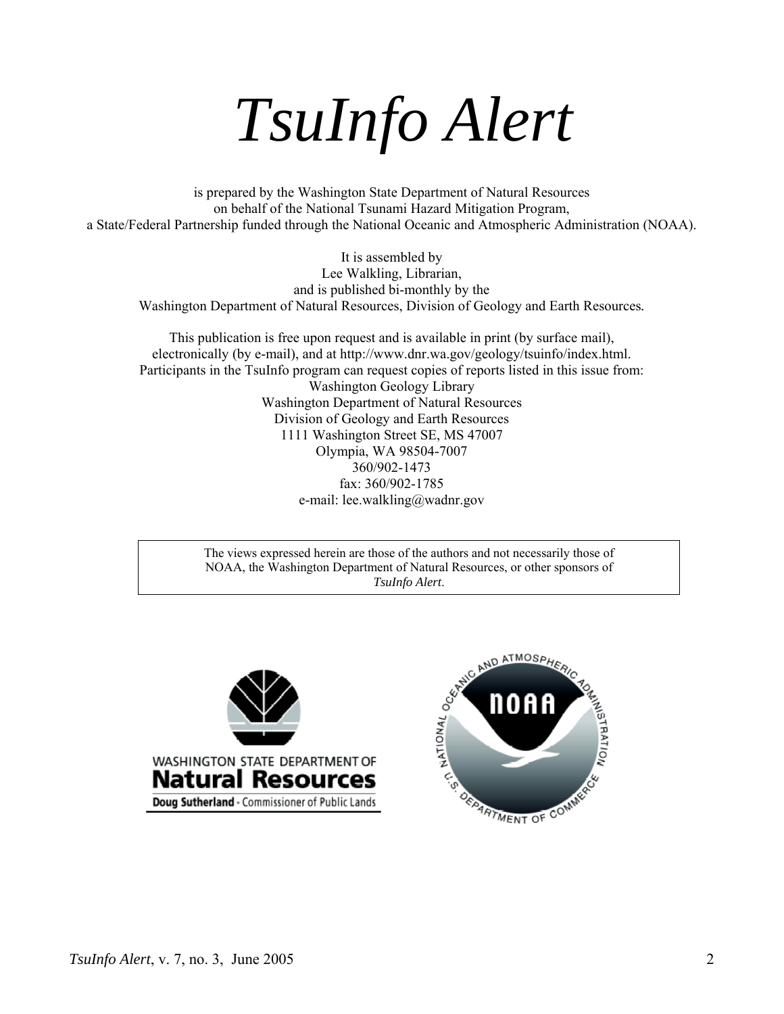*TsuInfo Alert*

is prepared by the Washington State Department of Natural Resources on behalf of the National Tsunami Hazard Mitigation Program, a State/Federal Partnership funded through the National Oceanic and Atmospheric Administration (NOAA).

It is assembled by Lee Walkling, Librarian, and is published bi-monthly by the Washington Department of Natural Resources, Division of Geology and Earth Resources*.* 

This publication is free upon request and is available in print (by surface mail), electronically (by e-mail), and at http://www.dnr.wa.gov/geology/tsuinfo/index.html. Participants in the TsuInfo program can request copies of reports listed in this issue from: Washington Geology Library Washington Department of Natural Resources Division of Geology and Earth Resources 1111 Washington Street SE, MS 47007 Olympia, WA 98504-7007 360/902-1473 fax: 360/902-1785 e-mail: lee.walkling@wadnr.gov

> The views expressed herein are those of the authors and not necessarily those of NOAA, the Washington Department of Natural Resources, or other sponsors of



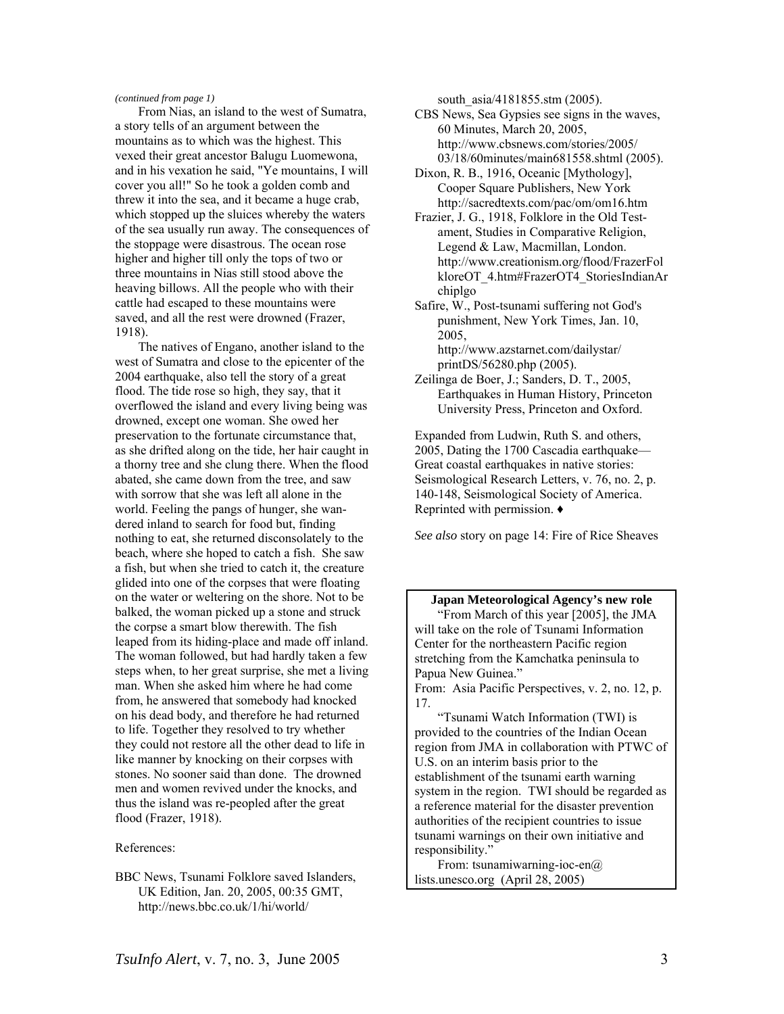### *(continued from page 1)*

From Nias, an island to the west of Sumatra, a story tells of an argument between the mountains as to which was the highest. This vexed their great ancestor Balugu Luomewona, and in his vexation he said, "Ye mountains, I will cover you all!" So he took a golden comb and threw it into the sea, and it became a huge crab, which stopped up the sluices whereby the waters of the sea usually run away. The consequences of the stoppage were disastrous. The ocean rose higher and higher till only the tops of two or three mountains in Nias still stood above the heaving billows. All the people who with their cattle had escaped to these mountains were saved, and all the rest were drowned (Frazer, 1918).

The natives of Engano, another island to the west of Sumatra and close to the epicenter of the 2004 earthquake, also tell the story of a great flood. The tide rose so high, they say, that it overflowed the island and every living being was drowned, except one woman. She owed her preservation to the fortunate circumstance that, as she drifted along on the tide, her hair caught in a thorny tree and she clung there. When the flood abated, she came down from the tree, and saw with sorrow that she was left all alone in the world. Feeling the pangs of hunger, she wandered inland to search for food but, finding nothing to eat, she returned disconsolately to the beach, where she hoped to catch a fish. She saw a fish, but when she tried to catch it, the creature glided into one of the corpses that were floating on the water or weltering on the shore. Not to be balked, the woman picked up a stone and struck the corpse a smart blow therewith. The fish leaped from its hiding-place and made off inland. The woman followed, but had hardly taken a few steps when, to her great surprise, she met a living man. When she asked him where he had come from, he answered that somebody had knocked on his dead body, and therefore he had returned to life. Together they resolved to try whether they could not restore all the other dead to life in like manner by knocking on their corpses with stones. No sooner said than done. The drowned men and women revived under the knocks, and thus the island was re-peopled after the great flood (Frazer, 1918).

#### References:

BBC News, Tsunami Folklore saved Islanders, UK Edition, Jan. 20, 2005, 00:35 GMT, http://news.bbc.co.uk/1/hi/world/

south  $a$ sia/4181855.stm (2005).

- CBS News, Sea Gypsies see signs in the waves, 60 Minutes, March 20, 2005, http://www.cbsnews.com/stories/2005/ 03/18/60minutes/main681558.shtml (2005).
- Dixon, R. B., 1916, Oceanic [Mythology], Cooper Square Publishers, New York http://sacredtexts.com/pac/om/om16.htm
- Frazier, J. G., 1918, Folklore in the Old Testament, Studies in Comparative Religion, Legend & Law, Macmillan, London. http://www.creationism.org/flood/FrazerFol kloreOT\_4.htm#FrazerOT4\_StoriesIndianAr chiplgo
- Safire, W., Post-tsunami suffering not God's punishment, New York Times, Jan. 10, 2005, http://www.azstarnet.com/dailystar/

printDS/56280.php (2005).

Zeilinga de Boer, J.; Sanders, D. T., 2005, Earthquakes in Human History, Princeton University Press, Princeton and Oxford.

Expanded from Ludwin, Ruth S. and others, 2005, Dating the 1700 Cascadia earthquake— Great coastal earthquakes in native stories: Seismological Research Letters, v. 76, no. 2, p. 140-148, Seismological Society of America. Reprinted with permission. ♦

*See also* story on page 14: Fire of Rice Sheaves

**Japan Meteorological Agency's new role**  "From March of this year [2005], the JMA will take on the role of Tsunami Information Center for the northeastern Pacific region stretching from the Kamchatka peninsula to Papua New Guinea." From: Asia Pacific Perspectives, v. 2, no. 12, p.

"Tsunami Watch Information (TWI) is provided to the countries of the Indian Ocean region from JMA in collaboration with PTWC of U.S. on an interim basis prior to the establishment of the tsunami earth warning system in the region. TWI should be regarded as a reference material for the disaster prevention authorities of the recipient countries to issue tsunami warnings on their own initiative and responsibility."

From: tsunamiwarning-ioc-en $@$ lists.unesco.org  $(April 28, 2005)$ 

17.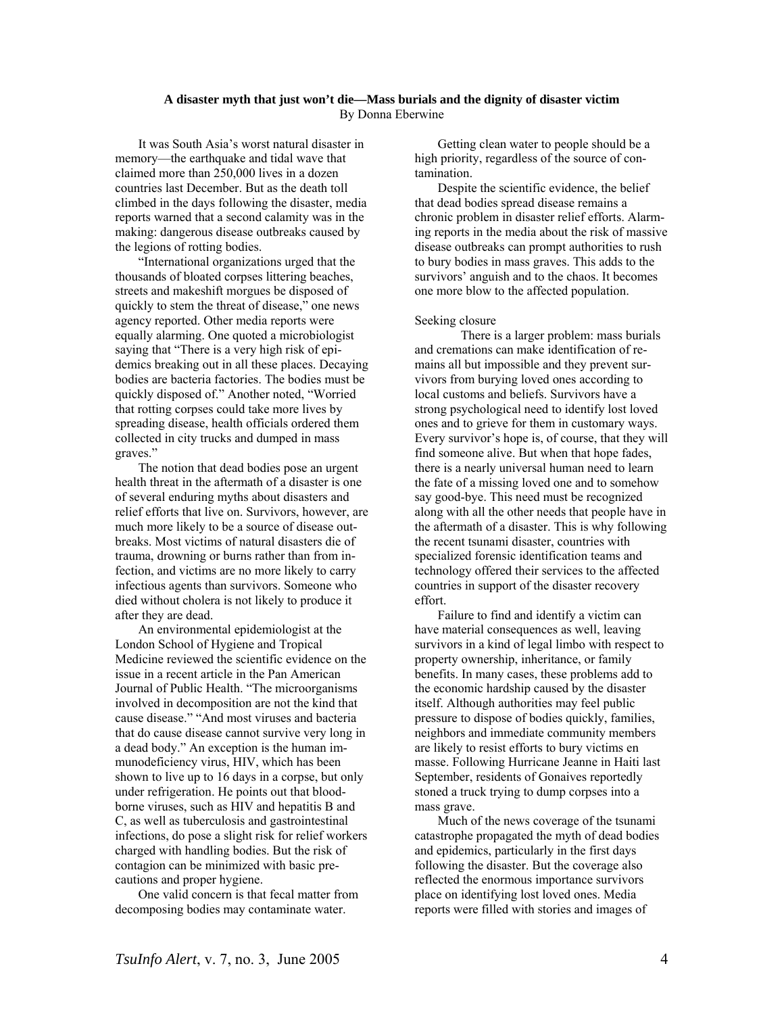### **A disaster myth that just won't die—Mass burials and the dignity of disaster victim** By Donna Eberwine

It was South Asia's worst natural disaster in memory—the earthquake and tidal wave that claimed more than 250,000 lives in a dozen countries last December. But as the death toll climbed in the days following the disaster, media reports warned that a second calamity was in the making: dangerous disease outbreaks caused by the legions of rotting bodies.

"International organizations urged that the thousands of bloated corpses littering beaches, streets and makeshift morgues be disposed of quickly to stem the threat of disease," one news agency reported. Other media reports were equally alarming. One quoted a microbiologist saying that "There is a very high risk of epidemics breaking out in all these places. Decaying bodies are bacteria factories. The bodies must be quickly disposed of." Another noted, "Worried that rotting corpses could take more lives by spreading disease, health officials ordered them collected in city trucks and dumped in mass graves."

The notion that dead bodies pose an urgent health threat in the aftermath of a disaster is one of several enduring myths about disasters and relief efforts that live on. Survivors, however, are much more likely to be a source of disease outbreaks. Most victims of natural disasters die of trauma, drowning or burns rather than from infection, and victims are no more likely to carry infectious agents than survivors. Someone who died without cholera is not likely to produce it after they are dead.

An environmental epidemiologist at the London School of Hygiene and Tropical Medicine reviewed the scientific evidence on the issue in a recent article in the Pan American Journal of Public Health. "The microorganisms involved in decomposition are not the kind that cause disease." "And most viruses and bacteria that do cause disease cannot survive very long in a dead body." An exception is the human immunodeficiency virus, HIV, which has been shown to live up to 16 days in a corpse, but only under refrigeration. He points out that bloodborne viruses, such as HIV and hepatitis B and C, as well as tuberculosis and gastrointestinal infections, do pose a slight risk for relief workers charged with handling bodies. But the risk of contagion can be minimized with basic precautions and proper hygiene.

One valid concern is that fecal matter from decomposing bodies may contaminate water.

Getting clean water to people should be a high priority, regardless of the source of contamination.

Despite the scientific evidence, the belief that dead bodies spread disease remains a chronic problem in disaster relief efforts. Alarming reports in the media about the risk of massive disease outbreaks can prompt authorities to rush to bury bodies in mass graves. This adds to the survivors' anguish and to the chaos. It becomes one more blow to the affected population.

#### Seeking closure

There is a larger problem: mass burials and cremations can make identification of remains all but impossible and they prevent survivors from burying loved ones according to local customs and beliefs. Survivors have a strong psychological need to identify lost loved ones and to grieve for them in customary ways. Every survivor's hope is, of course, that they will find someone alive. But when that hope fades, there is a nearly universal human need to learn the fate of a missing loved one and to somehow say good-bye. This need must be recognized along with all the other needs that people have in the aftermath of a disaster. This is why following the recent tsunami disaster, countries with specialized forensic identification teams and technology offered their services to the affected countries in support of the disaster recovery effort.

Failure to find and identify a victim can have material consequences as well, leaving survivors in a kind of legal limbo with respect to property ownership, inheritance, or family benefits. In many cases, these problems add to the economic hardship caused by the disaster itself. Although authorities may feel public pressure to dispose of bodies quickly, families, neighbors and immediate community members are likely to resist efforts to bury victims en masse. Following Hurricane Jeanne in Haiti last September, residents of Gonaives reportedly stoned a truck trying to dump corpses into a mass grave.

Much of the news coverage of the tsunami catastrophe propagated the myth of dead bodies and epidemics, particularly in the first days following the disaster. But the coverage also reflected the enormous importance survivors place on identifying lost loved ones. Media reports were filled with stories and images of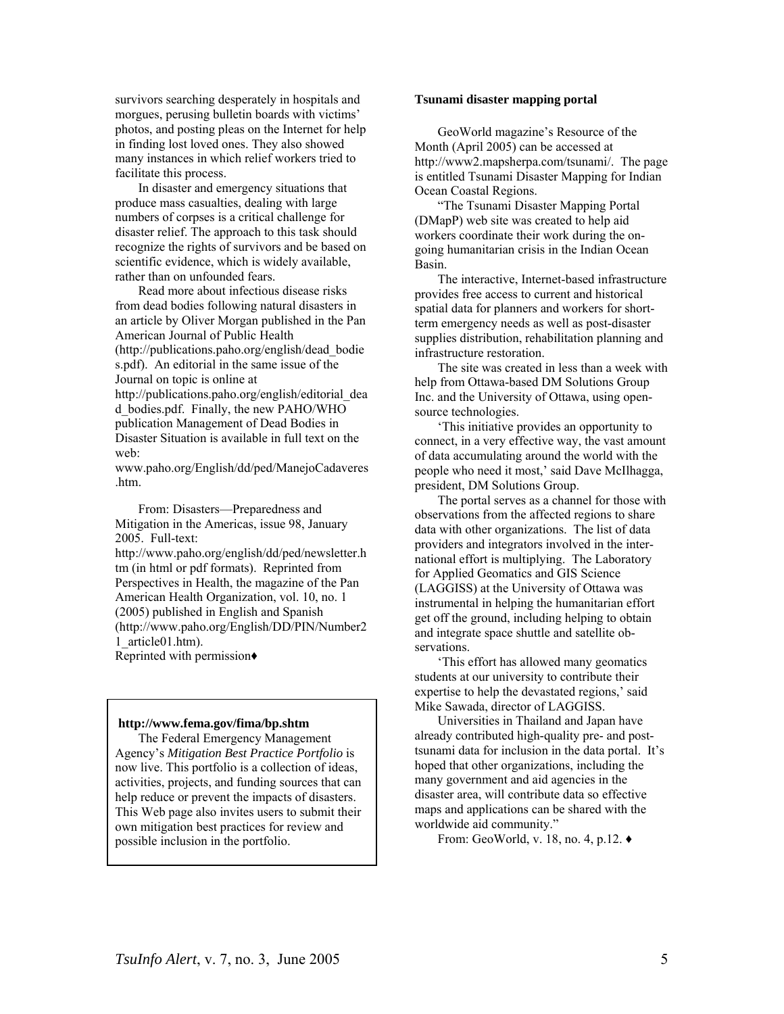survivors searching desperately in hospitals and morgues, perusing bulletin boards with victims' photos, and posting pleas on the Internet for help in finding lost loved ones. They also showed many instances in which relief workers tried to facilitate this process.

In disaster and emergency situations that produce mass casualties, dealing with large numbers of corpses is a critical challenge for disaster relief. The approach to this task should recognize the rights of survivors and be based on scientific evidence, which is widely available, rather than on unfounded fears.

Read more about infectious disease risks from dead bodies following natural disasters in an article by Oliver Morgan published in the Pan American Journal of Public Health (http://publications.paho.org/english/dead\_bodie s.pdf). An editorial in the same issue of the Journal on topic is online at http://publications.paho.org/english/editorial\_dea d bodies.pdf. Finally, the new PAHO/WHO publication Management of Dead Bodies in Disaster Situation is available in full text on the

web: www.paho.org/English/dd/ped/ManejoCadaveres

.htm.

From: Disasters—Preparedness and Mitigation in the Americas, issue 98, January 2005. Full-text:

http://www.paho.org/english/dd/ped/newsletter.h tm (in html or pdf formats). Reprinted from Perspectives in Health, the magazine of the Pan American Health Organization, vol. 10, no. 1 (2005) published in English and Spanish (http://www.paho.org/English/DD/PIN/Number2 1\_article01.htm).

Reprinted with permission♦

### http://www.fema.gov/fima/bp.shtm

The Federal Emergency Management Agency's *Mitigation Best Practice Portfolio* is now live. This portfolio is a collection of ideas, activities, projects, and funding sources that can help reduce or prevent the impacts of disasters. This Web page also invites users to submit their own mitigation best practices for review and possible inclusion in the portfolio.

#### **Tsunami disaster mapping portal**

GeoWorld magazine's Resource of the Month (April 2005) can be accessed at http://www2.mapsherpa.com/tsunami/. The page is entitled Tsunami Disaster Mapping for Indian Ocean Coastal Regions.

"The Tsunami Disaster Mapping Portal (DMapP) web site was created to help aid workers coordinate their work during the ongoing humanitarian crisis in the Indian Ocean Basin.

The interactive, Internet-based infrastructure provides free access to current and historical spatial data for planners and workers for shortterm emergency needs as well as post-disaster supplies distribution, rehabilitation planning and infrastructure restoration.

The site was created in less than a week with help from Ottawa-based DM Solutions Group Inc. and the University of Ottawa, using opensource technologies.

'This initiative provides an opportunity to connect, in a very effective way, the vast amount of data accumulating around the world with the people who need it most,' said Dave McIlhagga, president, DM Solutions Group.

The portal serves as a channel for those with observations from the affected regions to share data with other organizations. The list of data providers and integrators involved in the international effort is multiplying. The Laboratory for Applied Geomatics and GIS Science (LAGGISS) at the University of Ottawa was instrumental in helping the humanitarian effort get off the ground, including helping to obtain and integrate space shuttle and satellite observations.

'This effort has allowed many geomatics students at our university to contribute their expertise to help the devastated regions,' said Mike Sawada, director of LAGGISS.

Universities in Thailand and Japan have already contributed high-quality pre- and posttsunami data for inclusion in the data portal. It's hoped that other organizations, including the many government and aid agencies in the disaster area, will contribute data so effective maps and applications can be shared with the worldwide aid community."

From: GeoWorld, v. 18, no. 4, p.12. ♦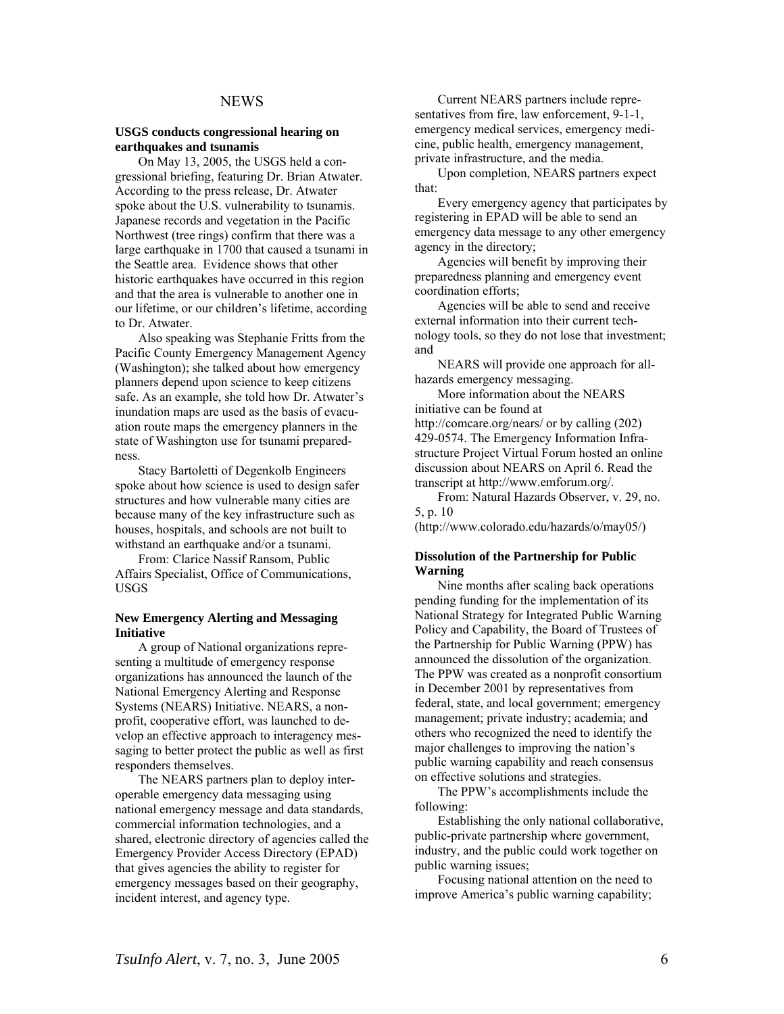### NEWS

#### **USGS conducts congressional hearing on earthquakes and tsunamis**

On May 13, 2005, the USGS held a congressional briefing, featuring Dr. Brian Atwater. According to the press release, Dr. Atwater spoke about the U.S. vulnerability to tsunamis. Japanese records and vegetation in the Pacific Northwest (tree rings) confirm that there was a large earthquake in 1700 that caused a tsunami in the Seattle area. Evidence shows that other historic earthquakes have occurred in this region and that the area is vulnerable to another one in our lifetime, or our children's lifetime, according to Dr. Atwater.

Also speaking was Stephanie Fritts from the Pacific County Emergency Management Agency (Washington); she talked about how emergency planners depend upon science to keep citizens safe. As an example, she told how Dr. Atwater's inundation maps are used as the basis of evacuation route maps the emergency planners in the state of Washington use for tsunami preparedness.

Stacy Bartoletti of Degenkolb Engineers spoke about how science is used to design safer structures and how vulnerable many cities are because many of the key infrastructure such as houses, hospitals, and schools are not built to withstand an earthquake and/or a tsunami.

From: Clarice Nassif Ransom, Public Affairs Specialist, Office of Communications, USGS

### **New Emergency Alerting and Messaging Initiative**

A group of National organizations representing a multitude of emergency response organizations has announced the launch of the National Emergency Alerting and Response Systems (NEARS) Initiative. NEARS, a nonprofit, cooperative effort, was launched to develop an effective approach to interagency messaging to better protect the public as well as first responders themselves.

The NEARS partners plan to deploy interoperable emergency data messaging using national emergency message and data standards, commercial information technologies, and a shared, electronic directory of agencies called the Emergency Provider Access Directory (EPAD) that gives agencies the ability to register for emergency messages based on their geography, incident interest, and agency type.

Current NEARS partners include representatives from fire, law enforcement, 9-1-1, emergency medical services, emergency medicine, public health, emergency management, private infrastructure, and the media.

Upon completion, NEARS partners expect that:

Every emergency agency that participates by registering in EPAD will be able to send an emergency data message to any other emergency agency in the directory;

Agencies will benefit by improving their preparedness planning and emergency event coordination efforts;

Agencies will be able to send and receive external information into their current technology tools, so they do not lose that investment; and

NEARS will provide one approach for allhazards emergency messaging.

More information about the NEARS initiative can be found at <http://comcare.org/nears/> or by calling (202) 429-0574. The Emergency Information Infrastructure Project Virtual Forum hosted an online discussion about NEARS on April 6. Read the transcript at<http://www.emforum.org/>.

From: Natural Hazards Observer, v. 29, no. 5, p. 10

(http://www.colorado.edu/hazards/o/may05/)

### **Dissolution of the Partnership for Public Warning**

Nine months after scaling back operations pending funding for the implementation of its National Strategy for Integrated Public Warning Policy and Capability, the Board of Trustees of the Partnership for Public Warning (PPW) has announced the dissolution of the organization. The PPW was created as a nonprofit consortium in December 2001 by representatives from federal, state, and local government; emergency management; private industry; academia; and others who recognized the need to identify the major challenges to improving the nation's public warning capability and reach consensus on effective solutions and strategies.

The PPW's accomplishments include the following:

Establishing the only national collaborative, public-private partnership where government, industry, and the public could work together on public warning issues;

Focusing national attention on the need to improve America's public warning capability;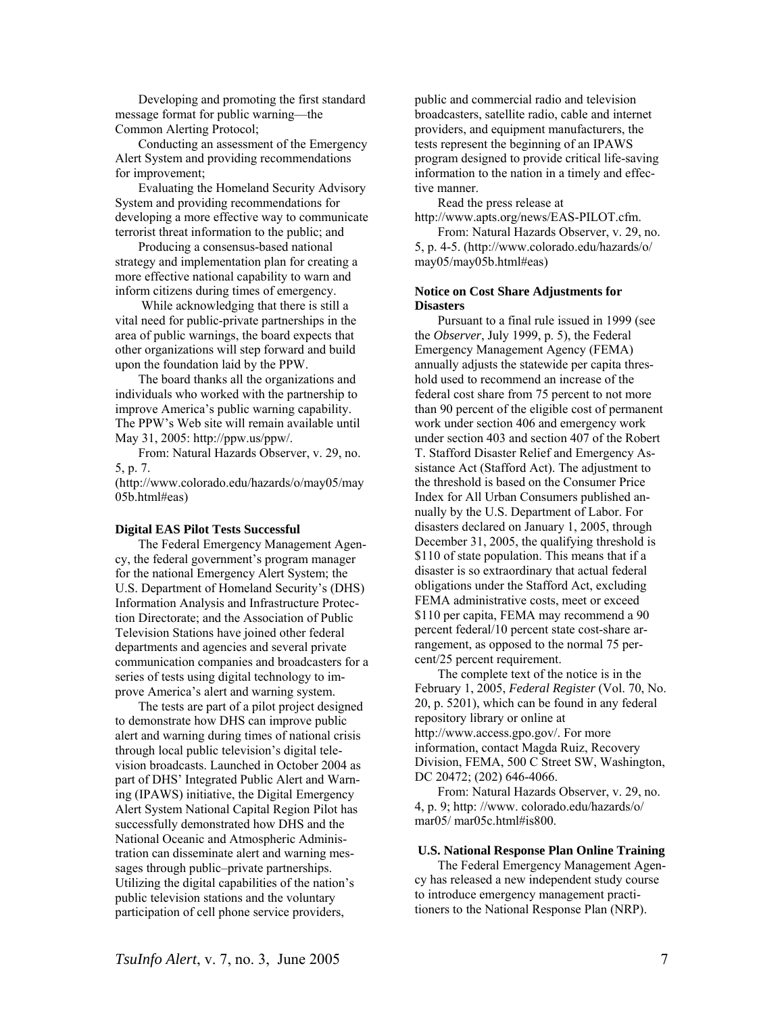Developing and promoting the first standard message format for public warning—the Common Alerting Protocol;

Conducting an assessment of the Emergency Alert System and providing recommendations for improvement;

Evaluating the Homeland Security Advisory System and providing recommendations for developing a more effective way to communicate terrorist threat information to the public; and

Producing a consensus-based national strategy and implementation plan for creating a more effective national capability to warn and inform citizens during times of emergency.

While acknowledging that there is still a vital need for public-private partnerships in the area of public warnings, the board expects that other organizations will step forward and build upon the foundation laid by the PPW.

The board thanks all the organizations and individuals who worked with the partnership to improve America's public warning capability. The PPW's Web site will remain available until May 31, 2005:<http://ppw.us/ppw/>.

From: Natural Hazards Observer, v. 29, no. 5, p. 7.

(http://www.colorado.edu/hazards/o/may05/may 05b.html#eas)

### **Digital EAS Pilot Tests Successful**

The Federal Emergency Management Agency, the federal government's program manager for the national Emergency Alert System; the U.S. Department of Homeland Security's (DHS) Information Analysis and Infrastructure Protection Directorate; and the Association of Public Television Stations have joined other federal departments and agencies and several private communication companies and broadcasters for a series of tests using digital technology to improve America's alert and warning system.

The tests are part of a pilot project designed to demonstrate how DHS can improve public alert and warning during times of national crisis through local public television's digital television broadcasts. Launched in October 2004 as part of DHS' Integrated Public Alert and Warning (IPAWS) initiative, the Digital Emergency Alert System National Capital Region Pilot has successfully demonstrated how DHS and the National Oceanic and Atmospheric Administration can disseminate alert and warning messages through public–private partnerships. Utilizing the digital capabilities of the nation's public television stations and the voluntary participation of cell phone service providers,

public and commercial radio and television broadcasters, satellite radio, cable and internet providers, and equipment manufacturers, the tests represent the beginning of an IPAWS program designed to provide critical life-saving information to the nation in a timely and effective manner.

Read the press release at [http://www.apts.org/news/EAS-PILOT.cfm.](http://www.apts.org/news/EAS-PILOT.cfm)

From: Natural Hazards Observer, v. 29, no. 5, p. 4-5. (<http://www.colorado.edu/hazards/o/> may05/may05b.html#eas)

### **Notice on Cost Share Adjustments for Disasters**

Pursuant to a final rule issued in 1999 (see the *Observer*, July 1999, p. 5), the Federal Emergency Management Agency (FEMA) annually adjusts the statewide per capita threshold used to recommend an increase of the federal cost share from 75 percent to not more than 90 percent of the eligible cost of permanent work under section 406 and emergency work under section 403 and section 407 of the Robert T. Stafford Disaster Relief and Emergency Assistance Act (Stafford Act). The adjustment to the threshold is based on the Consumer Price Index for All Urban Consumers published annually by the U.S. Department of Labor. For disasters declared on January 1, 2005, through December 31, 2005, the qualifying threshold is \$110 of state population. This means that if a disaster is so extraordinary that actual federal obligations under the Stafford Act, excluding FEMA administrative costs, meet or exceed \$110 per capita, FEMA may recommend a 90 percent federal/10 percent state cost-share arrangement, as opposed to the normal 75 percent/25 percent requirement.

The complete text of the notice is in the February 1, 2005, *Federal Register* (Vol. 70, No. 20, p. 5201), which can be found in any federal repository library or online at <http://www.access.gpo.gov/>. For more information, contact Magda Ruiz, Recovery Division, FEMA, 500 C Street SW, Washington, DC 20472; (202) 646-4066.

From: Natural Hazards Observer, v. 29, no. 4, p. 9; http: //www. colorado.edu/hazards/o/ mar05/ mar05c.html#is800.

### **U.S. National Response Plan Online Training**

The Federal Emergency Management Agency has released a new independent study course to introduce emergency management practitioners to the National Response Plan (NRP).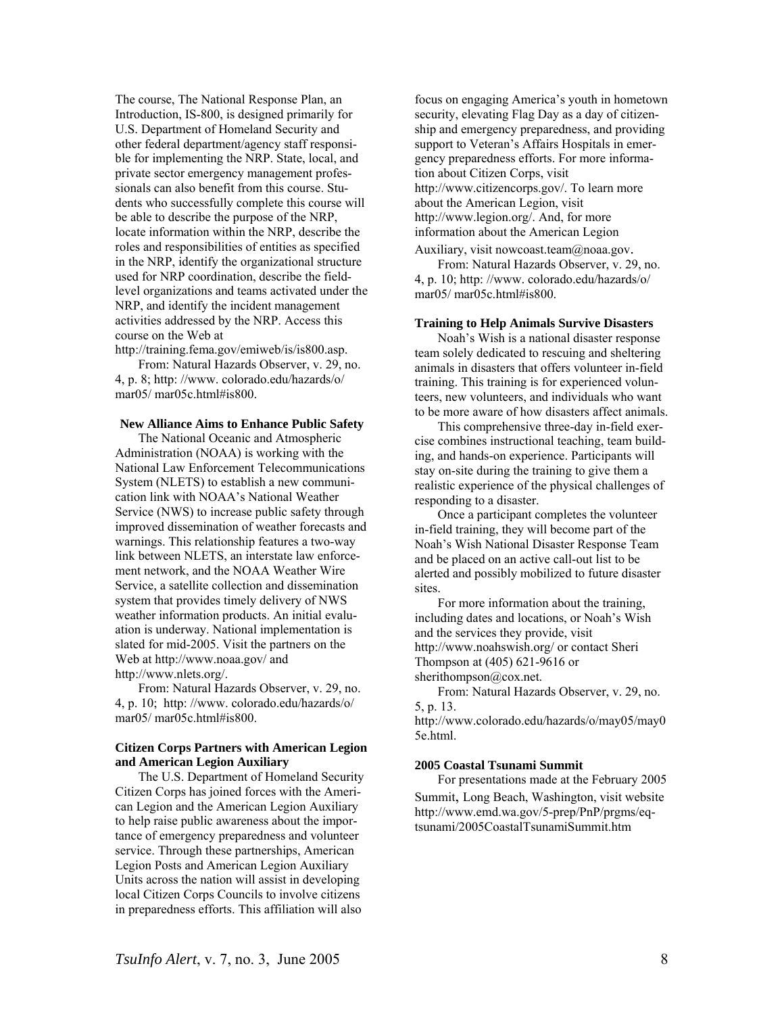The course, The National Response Plan, an Introduction, IS-800, is designed primarily for U.S. Department of Homeland Security and other federal department/agency staff responsible for implementing the NRP. State, local, and private sector emergency management professionals can also benefit from this course. Students who successfully complete this course will be able to describe the purpose of the NRP, locate information within the NRP, describe the roles and responsibilities of entities as specified in the NRP, identify the organizational structure used for NRP coordination, describe the fieldlevel organizations and teams activated under the NRP, and identify the incident management activities addressed by the NRP. Access this course on the Web at

<http://training.fema.gov/emiweb/is/is800.asp>.

From: Natural Hazards Observer, v. 29, no. 4, p. 8; http: //www. colorado.edu/hazards/o/ mar05/ mar05c.html#is800.

### **New Alliance Aims to Enhance Public Safety**

The National Oceanic and Atmospheric Administration (NOAA) is working with the National Law Enforcement Telecommunications System (NLETS) to establish a new communication link with NOAA's National Weather Service (NWS) to increase public safety through improved dissemination of weather forecasts and warnings. This relationship features a two-way link between NLETS, an interstate law enforcement network, and the NOAA Weather Wire Service, a satellite collection and dissemination system that provides timely delivery of NWS weather information products. An initial evaluation is underway. National implementation is slated for mid-2005. Visit the partners on the Web at<http://www.noaa.gov/> and [http://www.nlets.org/.](http://www.nlets.org/)

From: Natural Hazards Observer, v. 29, no. 4, p. 10; http: //www. colorado.edu/hazards/o/ mar05/ mar05c.html#is800.

### **Citizen Corps Partners with American Legion and American Legion Auxiliary**

The U.S. Department of Homeland Security Citizen Corps has joined forces with the American Legion and the American Legion Auxiliary to help raise public awareness about the importance of emergency preparedness and volunteer service. Through these partnerships, American Legion Posts and American Legion Auxiliary Units across the nation will assist in developing local Citizen Corps Councils to involve citizens in preparedness efforts. This affiliation will also

focus on engaging America's youth in hometown security, elevating Flag Day as a day of citizenship and emergency preparedness, and providing support to Veteran's Affairs Hospitals in emergency preparedness efforts. For more information about Citizen Corps, visit [http://www.citizencorps.gov/.](http://www.citizencorps.gov/) To learn more about the American Legion, visit [http://www.legion.org/.](http://www.legion.org/) And, for more information about the American Legion

Auxiliary, visit [nowcoast.team@noaa.gov](mailto:nowcoast.team@noaa.gov). From: Natural Hazards Observer, v. 29, no. 4, p. 10; http: //www. colorado.edu/hazards/o/ mar05/ mar05c.html#is800.

### **Training to Help Animals Survive Disasters**

Noah's Wish is a national disaster response team solely dedicated to rescuing and sheltering animals in disasters that offers volunteer in-field training. This training is for experienced volunteers, new volunteers, and individuals who want to be more aware of how disasters affect animals.

This comprehensive three-day in-field exercise combines instructional teaching, team building, and hands-on experience. Participants will stay on-site during the training to give them a realistic experience of the physical challenges of responding to a disaster.

Once a participant completes the volunteer in-field training, they will become part of the Noah's Wish National Disaster Response Team and be placed on an active call-out list to be alerted and possibly mobilized to future disaster sites.

For more information about the training, including dates and locations, or Noah's Wish and the services they provide, visit <http://www.noahswish.org/>or contact Sheri Thompson at (405) 621-9616 or [sherithompson@cox.net](mailto:sherithompson@cox.net).

From: Natural Hazards Observer, v. 29, no. 5, p. 13.

[http://www.colorado.edu/hazards/o/may05/may0](http://www.colorado.edu/hazards/o/may05/may05e.html) [5e.html](http://www.colorado.edu/hazards/o/may05/may05e.html).

### **2005 Coastal Tsunami Summit**

For presentations made at the February 2005 Summit, Long Beach, Washington, visit website [http://www.emd.wa.gov/5](http://www.emd.wa.gov/)-prep/PnP/prgms/eqtsunami/2005CoastalTsunamiSummit.htm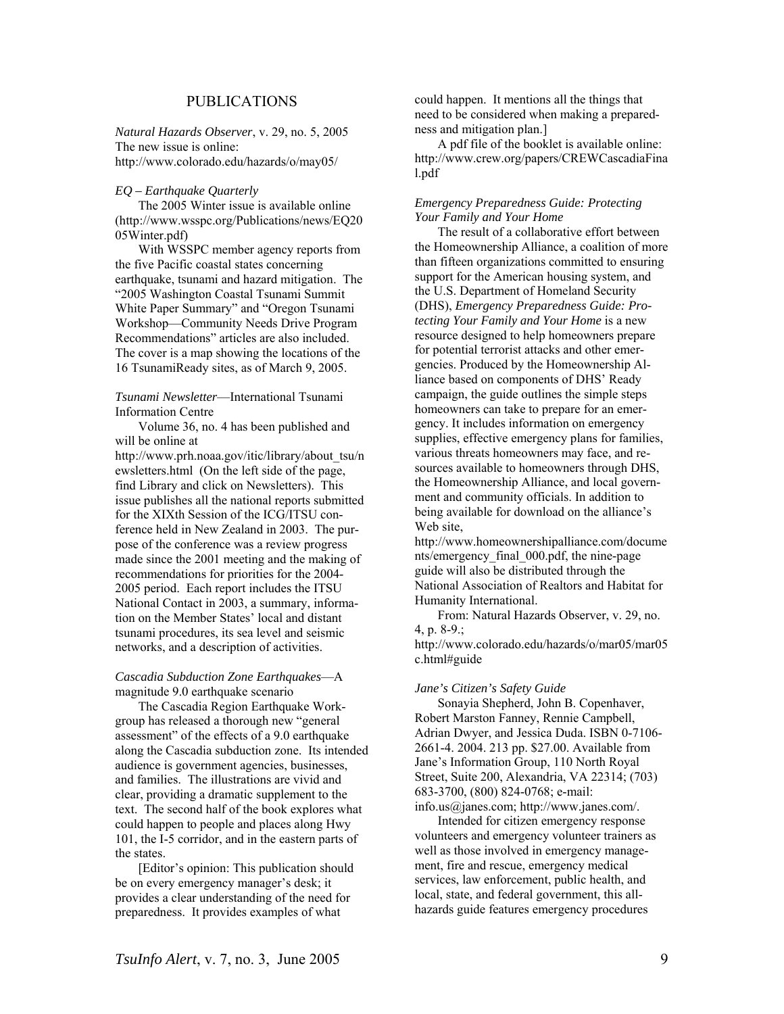### PUBLICATIONS

*Natural Hazards Observer*, v. 29, no. 5, 2005 The new issue is online: http://www.colorado.edu/hazards/o/may05/

### *EQ – Earthquake Quarterly*

The 2005 Winter issue is available online [\(http://www.wsspc.org/Publications/news/EQ20](http://www.wsspc.org/Publications/news/EQ2005Winter.pdf) [05Winter.pdf\)](http://www.wsspc.org/Publications/news/EQ2005Winter.pdf)

With WSSPC member agency reports from the five Pacific coastal states concerning earthquake, tsunami and hazard mitigation. The "2005 Washington Coastal Tsunami Summit White Paper Summary" and "Oregon Tsunami Workshop—Community Needs Drive Program Recommendations" articles are also included. The cover is a map showing the locations of the 16 TsunamiReady sites, as of March 9, 2005.

### *Tsunami Newsletter*—International Tsunami Information Centre

Volume 36, no. 4 has been published and will be online at

[http://www.prh.noaa.gov/itic/library/about\\_tsu/n](http://www.prh.noaa.gov/itic/library/about_tsu/newsletters.html) [ewsletters.html](http://www.prh.noaa.gov/itic/library/about_tsu/newsletters.html) (On the left side of the page, find Library and click on Newsletters). This issue publishes all the national reports submitted for the XIXth Session of the ICG/ITSU conference held in New Zealand in 2003. The purpose of the conference was a review progress made since the 2001 meeting and the making of recommendations for priorities for the 2004- 2005 period. Each report includes the ITSU National Contact in 2003, a summary, information on the Member States' local and distant tsunami procedures, its sea level and seismic networks, and a description of activities.

### *Cascadia Subduction Zone Earthquakes*—A magnitude 9.0 earthquake scenario

The Cascadia Region Earthquake Workgroup has released a thorough new "general assessment" of the effects of a 9.0 earthquake along the Cascadia subduction zone. Its intended audience is government agencies, businesses, and families. The illustrations are vivid and clear, providing a dramatic supplement to the text. The second half of the book explores what could happen to people and places along Hwy 101, the I-5 corridor, and in the eastern parts of the states.

[Editor's opinion: This publication should be on every emergency manager's desk; it provides a clear understanding of the need for preparedness. It provides examples of what

could happen. It mentions all the things that need to be considered when making a preparedness and mitigation plan.]

A pdf file of the booklet is available online: [http://www.crew.org/papers/CREWCascadiaFina](http://www.crew.org/papers/CREWCascadiaFinal.pdf) [l.pdf](http://www.crew.org/papers/CREWCascadiaFinal.pdf)

### *Emergency Preparedness Guide: Protecting Your Family and Your Home*

The result of a collaborative effort between the Homeownership Alliance, a coalition of more than fifteen organizations committed to ensuring support for the American housing system, and the U.S. Department of Homeland Security (DHS), *Emergency Preparedness Guide: Protecting Your Family and Your Home* is a new resource designed to help homeowners prepare for potential terrorist attacks and other emergencies. Produced by the Homeownership Alliance based on components of DHS' Ready campaign, the guide outlines the simple steps homeowners can take to prepare for an emergency. It includes information on emergency supplies, effective emergency plans for families, various threats homeowners may face, and resources available to homeowners through DHS, the Homeownership Alliance, and local government and community officials. In addition to being available for download on the alliance's Web site,

[http://www.homeownershipalliance.com/docume](http://www.homeownershipalliance.com/documents/emergency_final_000.pdf) [nts/emergency\\_final\\_000.pdf,](http://www.homeownershipalliance.com/documents/emergency_final_000.pdf) the nine-page guide will also be distributed through the National Association of Realtors and Habitat for Humanity International.

From: Natural Hazards Observer, v. 29, no. 4, p.  $8-9$ .;

http://www.colorado.edu/hazards/o/mar05/mar05 c.html#guide

#### *Jane's Citizen's Safety Guide*

Sonayia Shepherd, John B. Copenhaver, Robert Marston Fanney, Rennie Campbell, Adrian Dwyer, and Jessica Duda. ISBN 0-7106- 2661-4. 2004. 213 pp. \$27.00. Available from Jane's Information Group, 110 North Royal Street, Suite 200, Alexandria, VA 22314; (703) 683-3700, (800) 824-0768; e-mail: [info.us@janes.com;](mailto:info.us@janes.com)<http://www.janes.com/>.

Intended for citizen emergency response volunteers and emergency volunteer trainers as well as those involved in emergency management, fire and rescue, emergency medical services, law enforcement, public health, and local, state, and federal government, this allhazards guide features emergency procedures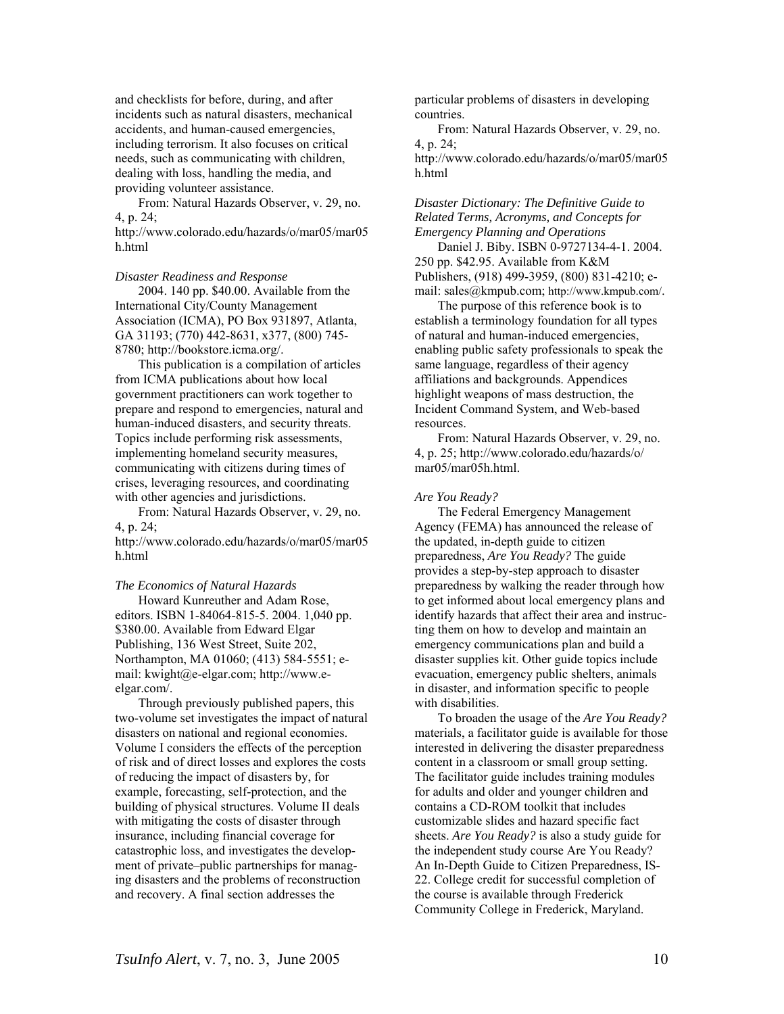and checklists for before, during, and after incidents such as natural disasters, mechanical accidents, and human-caused emergencies, including terrorism. It also focuses on critical needs, such as communicating with children, dealing with loss, handling the media, and providing volunteer assistance.

From: Natural Hazards Observer, v. 29, no. 4, p. 24;

[http://www.colorado.edu/hazards/o/mar05/mar05](http://www.colorado.edu/hazards/o/mar05/mar05h.html) [h.html](http://www.colorado.edu/hazards/o/mar05/mar05h.html)

### *Disaster Readiness and Response*

2004. 140 pp. \$40.00. Available from the International City/County Management Association (ICMA), PO Box 931897, Atlanta, GA 31193; (770) 442-8631, x377, (800) 745- 8780;<http://bookstore.icma.org/>.

This publication is a compilation of articles from ICMA publications about how local government practitioners can work together to prepare and respond to emergencies, natural and human-induced disasters, and security threats. Topics include performing risk assessments, implementing homeland security measures, communicating with citizens during times of crises, leveraging resources, and coordinating with other agencies and jurisdictions.

From: Natural Hazards Observer, v. 29, no. 4, p. 24;

[http://www.colorado.edu/hazards/o/mar05/mar05](http://www.colorado.edu/hazards/o/mar05/mar05h.html) [h.html](http://www.colorado.edu/hazards/o/mar05/mar05h.html)

### *The Economics of Natural Hazards*

Howard Kunreuther and Adam Rose, editors. ISBN 1-84064-815-5. 2004. 1,040 pp. \$380.00. Available from Edward Elgar Publishing, 136 West Street, Suite 202, Northampton, MA 01060; (413) 584-5551; email: [kwight@e-elgar.com;](mailto:kwight@e-elgar.com) [http://www.e](http://www.e-elgar.com/)[elgar.com/](http://www.e-elgar.com/).

Through previously published papers, this two-volume set investigates the impact of natural disasters on national and regional economies. Volume I considers the effects of the perception of risk and of direct losses and explores the costs of reducing the impact of disasters by, for example, forecasting, self-protection, and the building of physical structures. Volume II deals with mitigating the costs of disaster through insurance, including financial coverage for catastrophic loss, and investigates the development of private–public partnerships for managing disasters and the problems of reconstruction and recovery. A final section addresses the

particular problems of disasters in developing countries.

From: Natural Hazards Observer, v. 29, no. 4, p. 24;

[http://www.colorado.edu/hazards/o/mar05/mar05](http://www.colorado.edu/hazards/o/mar05/mar05h.html) [h.html](http://www.colorado.edu/hazards/o/mar05/mar05h.html)

### *Disaster Dictionary: The Definitive Guide to Related Terms, Acronyms, and Concepts for Emergency Planning and Operations*

Daniel J. Biby. ISBN 0-9727134-4-1. 2004. 250 pp. \$42.95. Available from K&M Publishers, (918) 499-3959, (800) 831-4210; email: [sales@kmpub.com](mailto:sales@kmpub.com);<http://www.kmpub.com/>.

The purpose of this reference book is to establish a terminology foundation for all types of natural and human-induced emergencies, enabling public safety professionals to speak the same language, regardless of their agency affiliations and backgrounds. Appendices highlight weapons of mass destruction, the Incident Command System, and Web-based resources.

From: Natural Hazards Observer, v. 29, no. 4, p. 25; <http://www.colorado.edu/hazards/o/> mar05/mar05h.html.

#### *Are You Ready?*

The Federal Emergency Management Agency (FEMA) has announced the release of the updated, in-depth guide to citizen preparedness, *Are You Ready?* The guide provides a step-by-step approach to disaster preparedness by walking the reader through how to get informed about local emergency plans and identify hazards that affect their area and instructing them on how to develop and maintain an emergency communications plan and build a disaster supplies kit. Other guide topics include evacuation, emergency public shelters, animals in disaster, and information specific to people with disabilities.

To broaden the usage of the *Are You Ready?* materials, a facilitator guide is available for those interested in delivering the disaster preparedness content in a classroom or small group setting. The facilitator guide includes training modules for adults and older and younger children and contains a CD-ROM toolkit that includes customizable slides and hazard specific fact sheets. *Are You Ready?* is also a study guide for the independent study course Are You Ready? An In-Depth Guide to Citizen Preparedness, IS-22. College credit for successful completion of the course is available through Frederick Community College in Frederick, Maryland.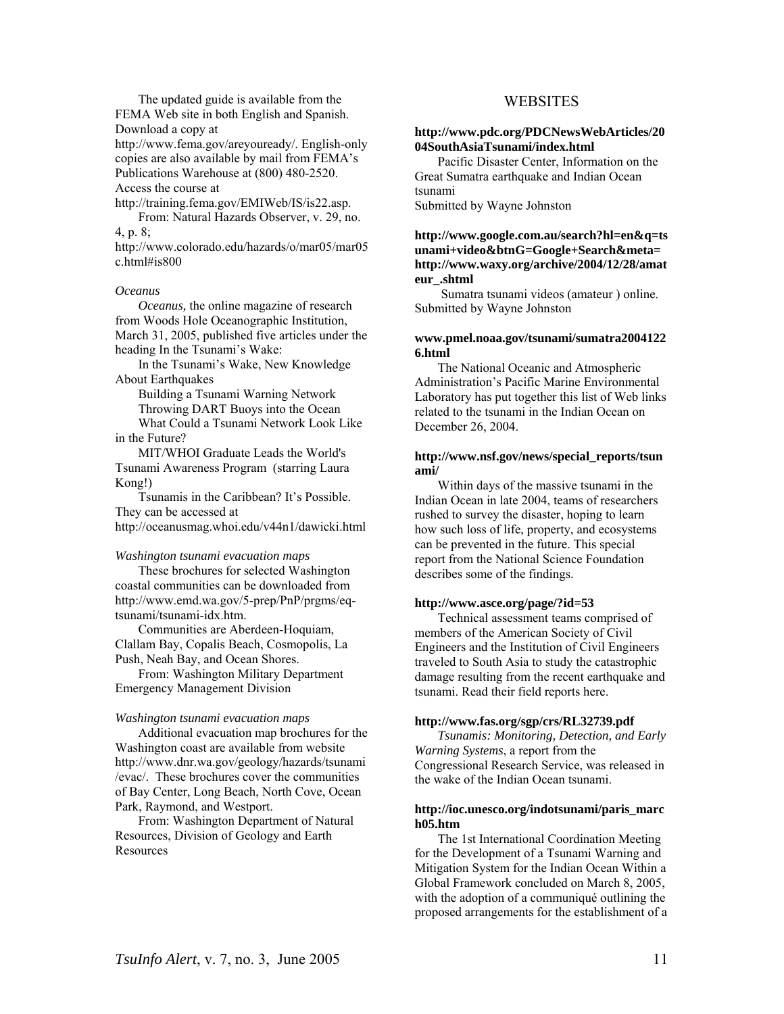The updated guide is available from the FEMA Web site in both English and Spanish. Download a copy at

[http://www.fema.gov/areyouready/.](http://www.fema.gov/areyouready/) English-only copies are also available by mail from FEMA's Publications Warehouse at (800) 480-2520. Access the course at

[http://training.fema.gov/EMIWeb/IS/is22.asp.](http://training.fema.gov/EMIWeb/IS/is22.asp)

From: Natural Hazards Observer, v. 29, no. 4, p. 8;

http://www.colorado.edu/hazards/o/mar05/mar05 c.html#is800

#### *Oceanus*

*Oceanus,* the online magazine of research from Woods Hole Oceanographic Institution, March 31, 2005, published five articles under the heading In the Tsunami's Wake:

In [the Tsunami's Wake, New Knowledge](http://oceanusmag.whoi.edu/v44n1/lin.html)  [About Earthquakes](http://oceanusmag.whoi.edu/v44n1/lin.html) 

[Building a Tsunami Warning](http://oceanusmag.whoi.edu/v44n1/carlowicz.html) Network Throwing [DART Buoys into the Ocean](http://oceanusmag.whoi.edu/v44n1/dart.html)

What Could a [Tsunami Network Look Like](http://oceanusmag.whoi.edu/v44n1/tech.html) [in the Future?](http://oceanusmag.whoi.edu/v44n1/tech.html) 

[MIT/WHOI Graduate Leads the World's](http://oceanusmag.whoi.edu/v44n1/kong.html)  [Tsunami Awareness Program](http://oceanusmag.whoi.edu/v44n1/kong.html) (starring Laura Kong!)

Tsunamis in the Caribbean? [It's Possible.](http://oceanusmag.whoi.edu/v44n1/dawicki.html) They can be accessed at <http://oceanusmag.whoi.edu/v44n1/dawicki.html>

### *Washington tsunami evacuation maps*

These brochures for selected Washington coastal communities can be downloaded from [http://www.emd.wa.gov/5-prep/PnP/prgms/eq](http://www.emd.wa.gov/5-prep/PnP/prgms/eq-tsunami/tsunami-idx.htm)[tsunami/tsunami-idx.htm](http://www.emd.wa.gov/5-prep/PnP/prgms/eq-tsunami/tsunami-idx.htm).

Communities are Aberdeen-Hoquiam, Clallam Bay, Copalis Beach, Cosmopolis, La Push, Neah Bay, and Ocean Shores.

From: Washington Military Department Emergency Management Division

### *Washington tsunami evacuation maps*

Additional evacuation map brochures for the Washington coast are available from website [http://www.dnr.wa.gov/geology/hazards/tsunami](http://www.dnr.wa.gov/geology/hazards/tsunami/evac/) [/evac/.](http://www.dnr.wa.gov/geology/hazards/tsunami/evac/) These brochures cover the communities of Bay Center, Long Beach, North Cove, Ocean Park, Raymond, and Westport.

From: Washington Department of Natural Resources, Division of Geology and Earth Resources

### WEBSITES

### **[http://www.pdc.org/PDCNewsWebArticles/20](http://www.pdc.org/PDCNewsWebArticles/2004SouthAsiaTsunami/index.html) [04SouthAsiaTsunami/index.html](http://www.pdc.org/PDCNewsWebArticles/2004SouthAsiaTsunami/index.html)**

Pacific Disaster Center, Information on the Great Sumatra earthquake and Indian Ocean tsunami

Submitted by Wayne Johnston

**http://www.google.com.au/search?hl=en&q=ts unami+video&btnG=Google+Search&meta= http://www.waxy.org/archive/2004/12/28/amat eur\_.shtml** 

 Sumatra tsunami videos (amateur ) online. Submitted by Wayne Johnston

### **[www.pmel.noaa.gov/tsunami/sumatra2004122](http://www.pmel.noaa.gov/tsunami/sumatra20041226.html) [6.html](http://www.pmel.noaa.gov/tsunami/sumatra20041226.html)**

The National Oceanic and Atmospheric Administration's Pacific Marine Environmental Laboratory has put together this list of Web links related to the tsunami in the Indian Ocean on December 26, 2004.

### **[http://www.nsf.gov/news/special\\_reports/tsun](http://www.nsf.gov/news/special_reports/tsunami/) [ami/](http://www.nsf.gov/news/special_reports/tsunami/)**

Within days of the massive tsunami in the Indian Ocean in late 2004, teams of researchers rushed to survey the disaster, hoping to learn how such loss of life, property, and ecosystems can be prevented in the future. This special report from the National Science Foundation describes some of the findings.

### **<http://www.asce.org/page/?id=53>**

Technical assessment teams comprised of members of the American Society of Civil Engineers and the Institution of Civil Engineers traveled to South Asia to study the catastrophic damage resulting from the recent earthquake and tsunami. Read their field reports here.

### **<http://www.fas.org/sgp/crs/RL32739.pdf>**

*Tsunamis: Monitoring, Detection, and Early Warning Systems*, a report from the Congressional Research Service, was released in the wake of the Indian Ocean tsunami.

### **[http://ioc.unesco.org/indotsunami/paris\\_marc](http://ioc.unesco.org/indotsunami/paris_march05.htm) [h05.htm](http://ioc.unesco.org/indotsunami/paris_march05.htm)**

The 1st International Coordination Meeting for the Development of a Tsunami Warning and Mitigation System for the Indian Ocean Within a Global Framework concluded on March 8, 2005, with the adoption of a communiqué outlining the proposed arrangements for the establishment of a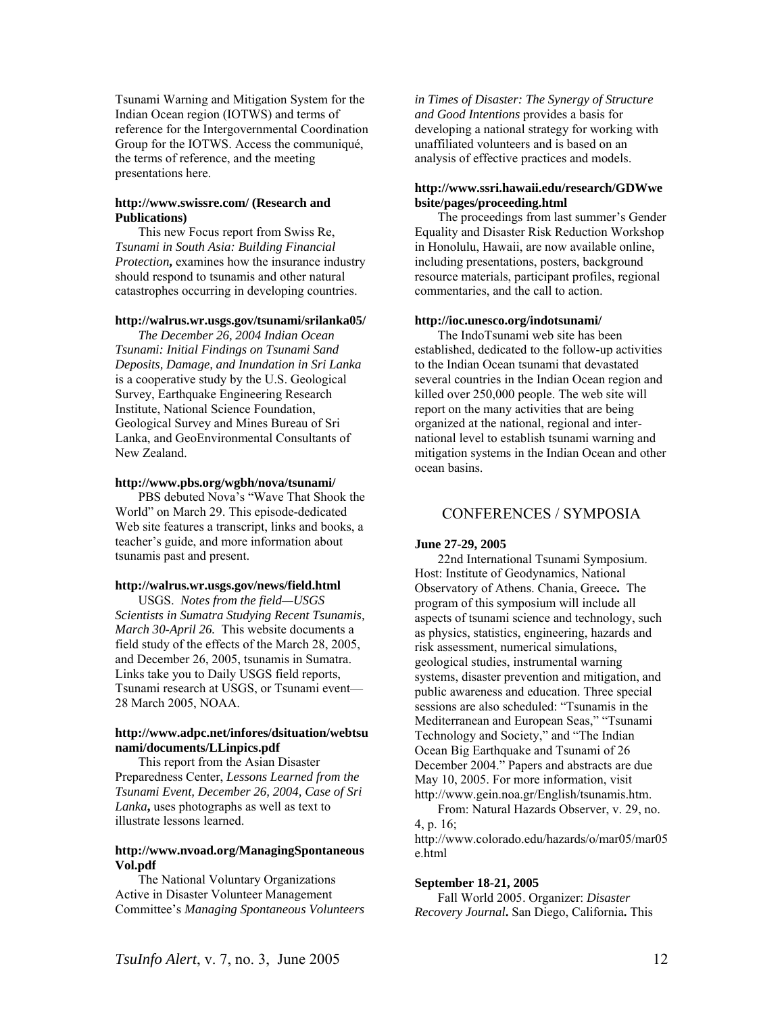Tsunami Warning and Mitigation System for the Indian Ocean region (IOTWS) and terms of reference for the Intergovernmental Coordination Group for the IOTWS. Access the communiqué, the terms of reference, and the meeting presentations here.

### **<http://www.swissre.com/> (Research and Publications)**

This new Focus report from Swiss Re, *Tsunami in South Asia: Building Financial Protection***,** examines how the insurance industry should respond to tsunamis and other natural catastrophes occurring in developing countries.

#### **<http://walrus.wr.usgs.gov/tsunami/srilanka05/>**

*The December 26, 2004 Indian Ocean Tsunami: Initial Findings on Tsunami Sand Deposits, Damage, and Inundation in Sri Lanka* is a cooperative study by the U.S. Geological Survey, Earthquake Engineering Research Institute, National Science Foundation, Geological Survey and Mines Bureau of Sri Lanka, and GeoEnvironmental Consultants of New Zealand.

#### **<http://www.pbs.org/wgbh/nova/tsunami/>**

PBS debuted Nova's "Wave That Shook the World" on March 29. This episode-dedicated Web site features a transcript, links and books, a teacher's guide, and more information about tsunamis past and present.

### **<http://walrus.wr.usgs.gov/news/field.html>**

USGS. *Notes from the field—USGS Scientists in Sumatra Studying Recent Tsunamis, March 30-April 26.* This website documents a field study of the effects of the March 28, 2005, and December 26, 2005, tsunamis in Sumatra. Links take you to Daily USGS field reports, Tsunami research at USGS, or Tsunami event— 28 March 2005, NOAA.

### **[http://www.adpc.net/infores/dsituation/webtsu](http://www.adpc.net/infores/dsituation/webtsunami/documents/LLinpics.pdf) [nami/documents/LLinpics.pdf](http://www.adpc.net/infores/dsituation/webtsunami/documents/LLinpics.pdf)**

This report from the Asian Disaster Preparedness Center, *Lessons Learned from the Tsunami Event, December 26, 2004, Case of Sri Lanka***,** uses photographs as well as text to illustrate lessons learned.

### **[http://www.nvoad.org/ManagingSpontaneous](http://www.nvoad.org/ManagingSpontaneousVol.pdf) [Vol.pdf](http://www.nvoad.org/ManagingSpontaneousVol.pdf)**

The National Voluntary Organizations Active in Disaster Volunteer Management Committee's *Managing Spontaneous Volunteers*  *in Times of Disaster: The Synergy of Structure and Good Intentions* provides a basis for developing a national strategy for working with unaffiliated volunteers and is based on an analysis of effective practices and models.

### **[http://www.ssri.hawaii.edu/research/GDWwe](http://www.ssri.hawaii.edu/research/GDWwebsite/pages/proceeding.html) [bsite/pages/proceeding.html](http://www.ssri.hawaii.edu/research/GDWwebsite/pages/proceeding.html)**

The proceedings from last summer's Gender Equality and Disaster Risk Reduction Workshop in Honolulu, Hawaii, are now available online, including presentations, posters, background resource materials, participant profiles, regional commentaries, and the call to action.

#### **<http://ioc.unesco.org/indotsunami/>**

The [IndoTsunami web site](http://ioc.unesco.org/indotsunami) has been established, dedicated to the follow-up activities to the Indian Ocean tsunami that devastated several countries in the Indian Ocean region and killed over 250,000 people. The web site will report on the many activities that are being organized at the national, regional and international level to establish tsunami warning and mitigation systems in the Indian Ocean and other ocean basins.

### CONFERENCES / SYMPOSIA

#### **June 27-29, 2005**

22nd International Tsunami Symposium. Host: Institute of Geodynamics, National Observatory of Athens. Chania, Greece**.** The program of this symposium will include all aspects of tsunami science and technology, such as physics, statistics, engineering, hazards and risk assessment, numerical simulations, geological studies, instrumental warning systems, disaster prevention and mitigation, and public awareness and education. Three special sessions are also scheduled: "Tsunamis in the Mediterranean and European Seas," "Tsunami Technology and Society," and "The Indian Ocean Big Earthquake and Tsunami of 26 December 2004." Papers and abstracts are due May 10, 2005. For more information, visit [http://www.gein.noa.gr/English/tsunamis.htm.](http://www.gein.noa.gr/English/tsunamis.htm)

From: Natural Hazards Observer, v. 29, no. 4, p. 16; [http://www.colorado.edu/hazards/o/mar05/mar05](http://www.colorado.edu/hazards/o/mar05/mar05e.html)

[e.html](http://www.colorado.edu/hazards/o/mar05/mar05e.html)

### **September 18-21, 2005**

Fall World 2005. Organizer: *Disaster Recovery Journal***.** San Diego, California**.** This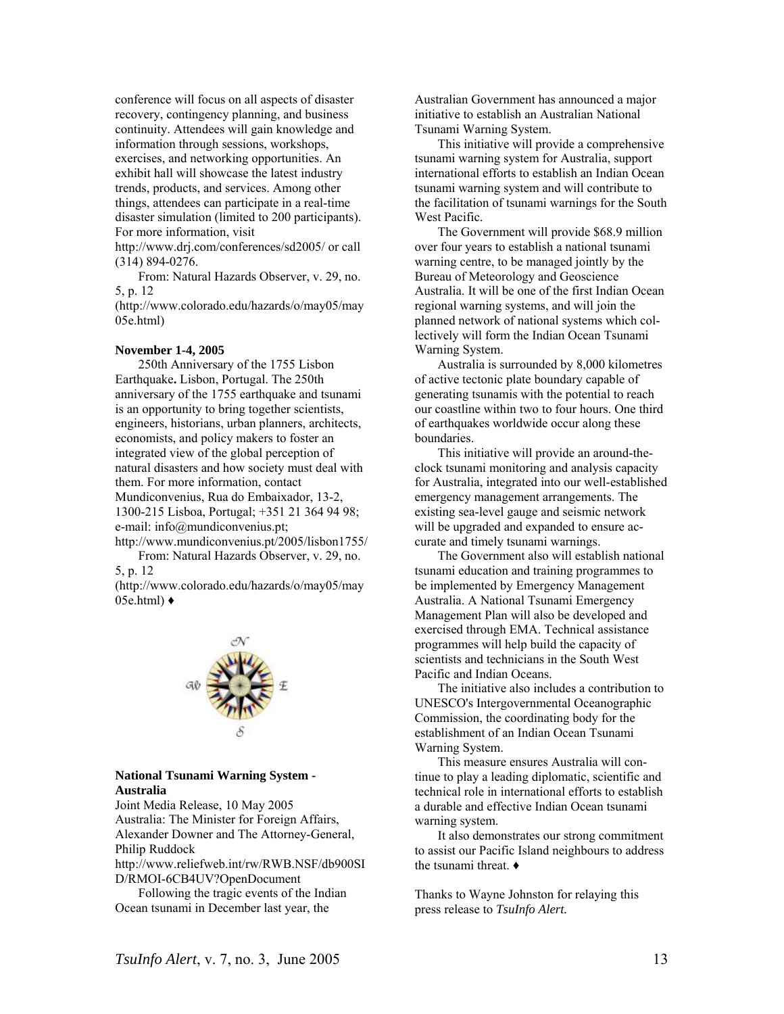conference will focus on all aspects of disaster recovery, contingency planning, and business continuity. Attendees will gain knowledge and information through sessions, workshops, exercises, and networking opportunities. An exhibit hall will showcase the latest industry trends, products, and services. Among other things, attendees can participate in a real-time disaster simulation (limited to 200 participants). For more information, visit

http://www.drj.com/conferences/sd2005/ or call (314) 894-0276.

From: Natural Hazards Observer, v. 29, no. 5, p. 12

(HThttp://www.colorado.edu/hazards/o/may05/may 05e.html)

#### **November 1-4, 2005**

250th Anniversary of the 1755 Lisbon Earthquake**.** Lisbon, Portugal. The 250th anniversary of the 1755 earthquake and tsunami is an opportunity to bring together scientists, engineers, historians, urban planners, architects, economists, and policy makers to foster an integrated view of the global perception of natural disasters and how society must deal with them. For more information, contact Mundiconvenius, Rua do Embaixador, 13-2, 1300-215 Lisboa, Portugal; +351 21 364 94 98; e-mail: info@mundiconvenius.pt;

http://www.mundiconvenius.pt/2005/lisbon1755/ From: Natural Hazards Observer, v. 29, no.

5, p. 12

(HThttp://www.colorado.edu/hazards/o/may05/may  $05$ e.html $) \triangleleft$ 



### **National Tsunami Warning System - Australia**

Joint Media Release, 10 May 2005 Australia: The Minister for Foreign Affairs, Alexander Downer and The Attorney-General, Philip Ruddock

http://www.reliefweb.int/rw/RWB.NSF/db900SI D/RMOI-6CB4UV?OpenDocument

Following the tragic events of the Indian Ocean tsunami in December last year, the

Australian Government has announced a major initiative to establish an Australian National Tsunami Warning System.

This initiative will provide a comprehensive tsunami warning system for Australia, support international efforts to establish an Indian Ocean tsunami warning system and will contribute to the facilitation of tsunami warnings for the South West Pacific.

The Government will provide \$68.9 million over four years to establish a national tsunami warning centre, to be managed jointly by the Bureau of Meteorology and Geoscience Australia. It will be one of the first Indian Ocean regional warning systems, and will join the planned network of national systems which collectively will form the Indian Ocean Tsunami Warning System.

Australia is surrounded by 8,000 kilometres of active tectonic plate boundary capable of generating tsunamis with the potential to reach our coastline within two to four hours. One third of earthquakes worldwide occur along these boundaries.

This initiative will provide an around-theclock tsunami monitoring and analysis capacity for Australia, integrated into our well-established emergency management arrangements. The existing sea-level gauge and seismic network will be upgraded and expanded to ensure accurate and timely tsunami warnings.

The Government also will establish national tsunami education and training programmes to be implemented by Emergency Management Australia. A National Tsunami Emergency Management Plan will also be developed and exercised through EMA. Technical assistance programmes will help build the capacity of scientists and technicians in the South West Pacific and Indian Oceans.

The initiative also includes a contribution to UNESCO's Intergovernmental Oceanographic Commission, the coordinating body for the establishment of an Indian Ocean Tsunami Warning System.

This measure ensures Australia will continue to play a leading diplomatic, scientific and technical role in international efforts to establish a durable and effective Indian Ocean tsunami warning system.

It also demonstrates our strong commitment to assist our Pacific Island neighbours to address the tsunami threat. ♦

Thanks to Wayne Johnston for relaying this press release to *TsuInfo Alert.*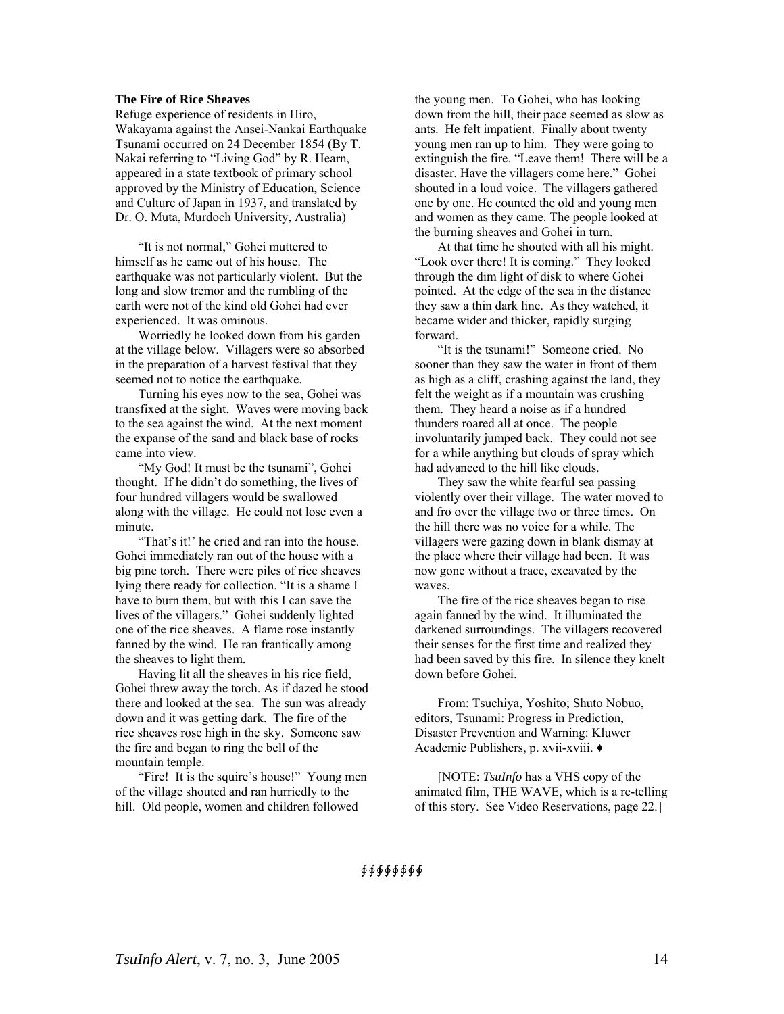### **The Fire of Rice Sheaves**

Refuge experience of residents in Hiro, Wakayama against the Ansei-Nankai Earthquake Tsunami occurred on 24 December 1854 (By T. Nakai referring to "Living God" by R. Hearn, appeared in a state textbook of primary school approved by the Ministry of Education, Science and Culture of Japan in 1937, and translated by Dr. O. Muta, Murdoch University, Australia)

"It is not normal," Gohei muttered to himself as he came out of his house. The earthquake was not particularly violent. But the long and slow tremor and the rumbling of the earth were not of the kind old Gohei had ever experienced. It was ominous.

Worriedly he looked down from his garden at the village below. Villagers were so absorbed in the preparation of a harvest festival that they seemed not to notice the earthquake.

Turning his eyes now to the sea, Gohei was transfixed at the sight. Waves were moving back to the sea against the wind. At the next moment the expanse of the sand and black base of rocks came into view.

"My God! It must be the tsunami", Gohei thought. If he didn't do something, the lives of four hundred villagers would be swallowed along with the village. He could not lose even a minute.

"That's it!' he cried and ran into the house. Gohei immediately ran out of the house with a big pine torch. There were piles of rice sheaves lying there ready for collection. "It is a shame I have to burn them, but with this I can save the lives of the villagers." Gohei suddenly lighted one of the rice sheaves. A flame rose instantly fanned by the wind. He ran frantically among the sheaves to light them.

Having lit all the sheaves in his rice field, Gohei threw away the torch. As if dazed he stood there and looked at the sea. The sun was already down and it was getting dark. The fire of the rice sheaves rose high in the sky. Someone saw the fire and began to ring the bell of the mountain temple.

"Fire! It is the squire's house!" Young men of the village shouted and ran hurriedly to the hill. Old people, women and children followed

the young men. To Gohei, who has looking down from the hill, their pace seemed as slow as ants. He felt impatient. Finally about twenty young men ran up to him. They were going to extinguish the fire. "Leave them! There will be a disaster. Have the villagers come here." Gohei shouted in a loud voice. The villagers gathered one by one. He counted the old and young men and women as they came. The people looked at the burning sheaves and Gohei in turn.

At that time he shouted with all his might. "Look over there! It is coming." They looked through the dim light of disk to where Gohei pointed. At the edge of the sea in the distance they saw a thin dark line. As they watched, it became wider and thicker, rapidly surging forward.

"It is the tsunami!" Someone cried. No sooner than they saw the water in front of them as high as a cliff, crashing against the land, they felt the weight as if a mountain was crushing them. They heard a noise as if a hundred thunders roared all at once. The people involuntarily jumped back. They could not see for a while anything but clouds of spray which had advanced to the hill like clouds.

They saw the white fearful sea passing violently over their village. The water moved to and fro over the village two or three times. On the hill there was no voice for a while. The villagers were gazing down in blank dismay at the place where their village had been. It was now gone without a trace, excavated by the waves.

The fire of the rice sheaves began to rise again fanned by the wind. It illuminated the darkened surroundings. The villagers recovered their senses for the first time and realized they had been saved by this fire. In silence they knelt down before Gohei.

From: Tsuchiya, Yoshito; Shuto Nobuo, editors, Tsunami: Progress in Prediction, Disaster Prevention and Warning: Kluwer Academic Publishers, p. xvii-xviii. ♦

[NOTE: *TsuInfo* has a VHS copy of the animated film, THE WAVE, which is a re-telling of this story. See Video Reservations, page 22.]

### ∮∮∮∮∮∮∮∮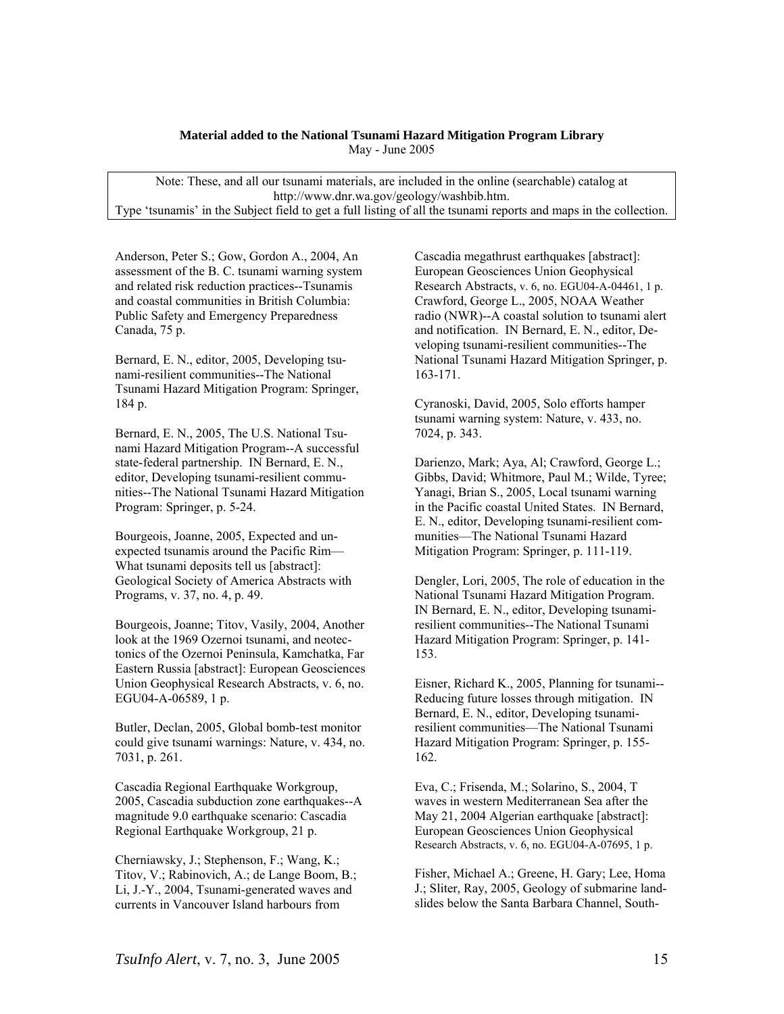### **Material added to the National Tsunami Hazard Mitigation Program Library** May - June 2005

Note: These, and all our tsunami materials, are included in the online (searchable) catalog at [http://www.dnr.wa.gov/geology/washbib.htm.](http://www.dnr.wa.gov/geology/washbib.htm) Type 'tsunamis' in the Subject field to get a full listing of all the tsunami reports and maps in the collection.

Anderson, Peter S.; Gow, Gordon A., 2004, An assessment of the B. C. tsunami warning system and related risk reduction practices--Tsunamis and coastal communities in British Columbia: Public Safety and Emergency Preparedness Canada, 75 p.

Bernard, E. N., editor, 2005, Developing tsunami-resilient communities--The National Tsunami Hazard Mitigation Program: Springer, 184 p.

Bernard, E. N., 2005, The U.S. National Tsunami Hazard Mitigation Program--A successful state-federal partnership. IN Bernard, E. N., editor, Developing tsunami-resilient communities--The National Tsunami Hazard Mitigation Program: Springer, p. 5-24.

Bourgeois, Joanne, 2005, Expected and unexpected tsunamis around the Pacific Rim— What tsunami deposits tell us [abstract]: Geological Society of America Abstracts with Programs, v. 37, no. 4, p. 49.

Bourgeois, Joanne; Titov, Vasily, 2004, Another look at the 1969 Ozernoi tsunami, and neotectonics of the Ozernoi Peninsula, Kamchatka, Far Eastern Russia [abstract]: European Geosciences Union Geophysical Research Abstracts, v. 6, no. EGU04-A-06589, 1 p.

Butler, Declan, 2005, Global bomb-test monitor could give tsunami warnings: Nature, v. 434, no. 7031, p. 261.

Cascadia Regional Earthquake Workgroup, 2005, Cascadia subduction zone earthquakes--A magnitude 9.0 earthquake scenario: Cascadia Regional Earthquake Workgroup, 21 p.

Cherniawsky, J.; Stephenson, F.; Wang, K.; Titov, V.; Rabinovich, A.; de Lange Boom, B.; Li, J.-Y., 2004, Tsunami-generated waves and currents in Vancouver Island harbours from

Cascadia megathrust earthquakes [abstract]: European Geosciences Union Geophysical Research Abstracts, v. 6, no. EGU04-A-04461, 1 p. Crawford, George L., 2005, NOAA Weather radio (NWR)--A coastal solution to tsunami alert and notification. IN Bernard, E. N., editor, Developing tsunami-resilient communities--The National Tsunami Hazard Mitigation Springer, p. 163-171.

Cyranoski, David, 2005, Solo efforts hamper tsunami warning system: Nature, v. 433, no. 7024, p. 343.

Darienzo, Mark; Aya, Al; Crawford, George L.; Gibbs, David; Whitmore, Paul M.; Wilde, Tyree; Yanagi, Brian S., 2005, Local tsunami warning in the Pacific coastal United States. IN Bernard, E. N., editor, Developing tsunami-resilient communities—The National Tsunami Hazard Mitigation Program: Springer, p. 111-119.

Dengler, Lori, 2005, The role of education in the National Tsunami Hazard Mitigation Program. IN Bernard, E. N., editor, Developing tsunamiresilient communities--The National Tsunami Hazard Mitigation Program: Springer, p. 141- 153.

Eisner, Richard K., 2005, Planning for tsunami-- Reducing future losses through mitigation. IN Bernard, E. N., editor, Developing tsunamiresilient communities—The National Tsunami Hazard Mitigation Program: Springer, p. 155- 162.

Eva, C.; Frisenda, M.; Solarino, S., 2004, T waves in western Mediterranean Sea after the May 21, 2004 Algerian earthquake [abstract]: European Geosciences Union Geophysical Research Abstracts, v. 6, no. EGU04-A-07695, 1 p.

Fisher, Michael A.; Greene, H. Gary; Lee, Homa J.; Sliter, Ray, 2005, Geology of submarine landslides below the Santa Barbara Channel, South-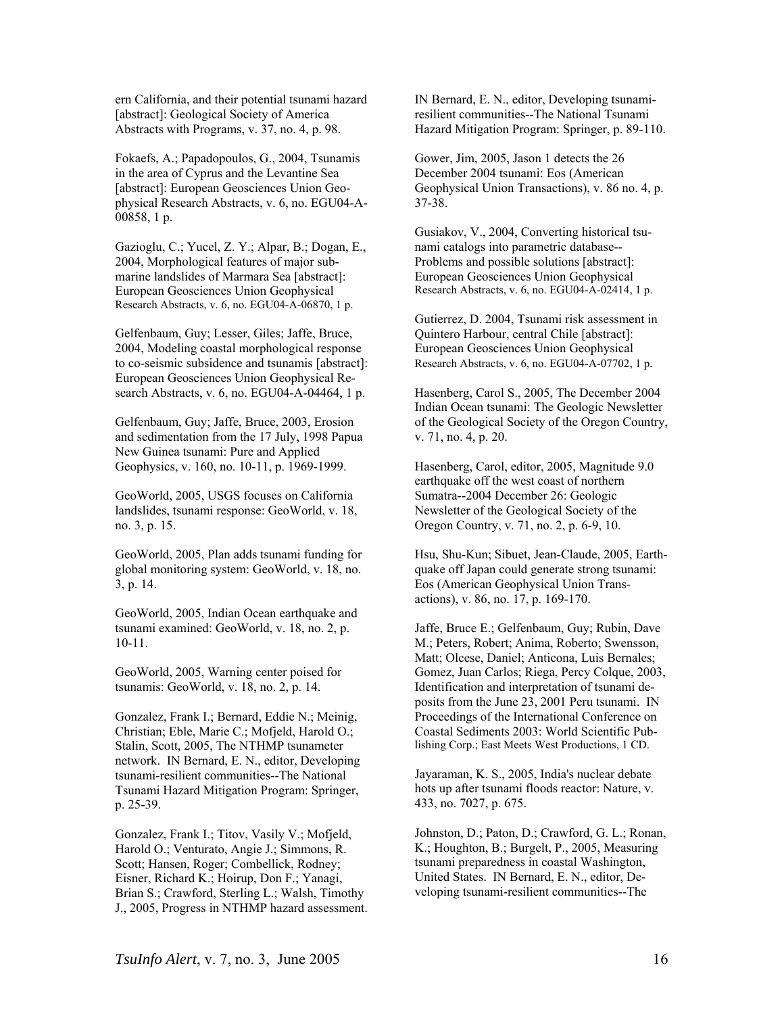ern California, and their potential tsunami hazard [abstract]: Geological Society of America Abstracts with Programs, v. 37, no. 4, p. 98.

Fokaefs, A.; Papadopoulos, G., 2004, Tsunamis in the area of Cyprus and the Levantine Sea [abstract]: European Geosciences Union Geophysical Research Abstracts, v. 6, no. EGU04-A-00858, 1 p.

Gazioglu, C.; Yucel, Z. Y.; Alpar, B.; Dogan, E., 2004, Morphological features of major submarine landslides of Marmara Sea [abstract]: European Geosciences Union Geophysical Research Abstracts, v. 6, no. EGU04-A-06870, 1 p.

Gelfenbaum, Guy; Lesser, Giles; Jaffe, Bruce, 2004, Modeling coastal morphological response to co-seismic subsidence and tsunamis [abstract]: European Geosciences Union Geophysical Research Abstracts, v. 6, no. EGU04-A-04464, 1 p.

Gelfenbaum, Guy; Jaffe, Bruce, 2003, Erosion and sedimentation from the 17 July, 1998 Papua New Guinea tsunami: Pure and Applied Geophysics, v. 160, no. 10-11, p. 1969-1999.

GeoWorld, 2005, USGS focuses on California landslides, tsunami response: GeoWorld, v. 18, no. 3, p. 15.

GeoWorld, 2005, Plan adds tsunami funding for global monitoring system: GeoWorld, v. 18, no. 3, p. 14.

GeoWorld, 2005, Indian Ocean earthquake and tsunami examined: GeoWorld, v. 18, no. 2, p. 10-11.

GeoWorld, 2005, Warning center poised for tsunamis: GeoWorld, v. 18, no. 2, p. 14.

Gonzalez, Frank I.; Bernard, Eddie N.; Meinig, Christian; Eble, Marie C.; Mofjeld, Harold O.; Stalin, Scott, 2005, The NTHMP tsunameter network. IN Bernard, E. N., editor, Developing tsunami-resilient communities--The National Tsunami Hazard Mitigation Program: Springer, p. 25-39.

Gonzalez, Frank I.; Titov, Vasily V.; Mofjeld, Harold O.; Venturato, Angie J.; Simmons, R. Scott; Hansen, Roger; Combellick, Rodney; Eisner, Richard K.; Hoirup, Don F.; Yanagi, Brian S.; Crawford, Sterling L.; Walsh, Timothy J., 2005, Progress in NTHMP hazard assessment. IN Bernard, E. N., editor, Developing tsunamiresilient communities--The National Tsunami Hazard Mitigation Program: Springer, p. 89-110.

Gower, Jim, 2005, Jason 1 detects the 26 December 2004 tsunami: Eos (American Geophysical Union Transactions), v. 86 no. 4, p. 37-38.

Gusiakov, V., 2004, Converting historical tsunami catalogs into parametric database-- Problems and possible solutions [abstract]: European Geosciences Union Geophysical Research Abstracts, v. 6, no. EGU04-A-02414, 1 p.

Gutierrez, D. 2004, Tsunami risk assessment in Quintero Harbour, central Chile [abstract]: European Geosciences Union Geophysical Research Abstracts, v. 6, no. EGU04-A-07702, 1 p.

Hasenberg, Carol S., 2005, The December 2004 Indian Ocean tsunami: The Geologic Newsletter of the Geological Society of the Oregon Country, v. 71, no. 4, p. 20.

Hasenberg, Carol, editor, 2005, Magnitude 9.0 earthquake off the west coast of northern Sumatra--2004 December 26: Geologic Newsletter of the Geological Society of the Oregon Country, v. 71, no. 2, p. 6-9, 10.

Hsu, Shu-Kun; Sibuet, Jean-Claude, 2005, Earthquake off Japan could generate strong tsunami: Eos (American Geophysical Union Transactions), v. 86, no. 17, p. 169-170.

Jaffe, Bruce E.; Gelfenbaum, Guy; Rubin, Dave M.; Peters, Robert; Anima, Roberto; Swensson, Matt; Olcese, Daniel; Anticona, Luis Bernales; Gomez, Juan Carlos; Riega, Percy Colque, 2003, Identification and interpretation of tsunami deposits from the June 23, 2001 Peru tsunami. IN Proceedings of the International Conference on Coastal Sediments 2003: World Scientific Publishing Corp.; East Meets West Productions, 1 CD.

Jayaraman, K. S., 2005, India's nuclear debate hots up after tsunami floods reactor: Nature, v. 433, no. 7027, p. 675.

Johnston, D.; Paton, D.; Crawford, G. L.; Ronan, K.; Houghton, B.; Burgelt, P., 2005, Measuring tsunami preparedness in coastal Washington, United States. IN Bernard, E. N., editor, Developing tsunami-resilient communities--The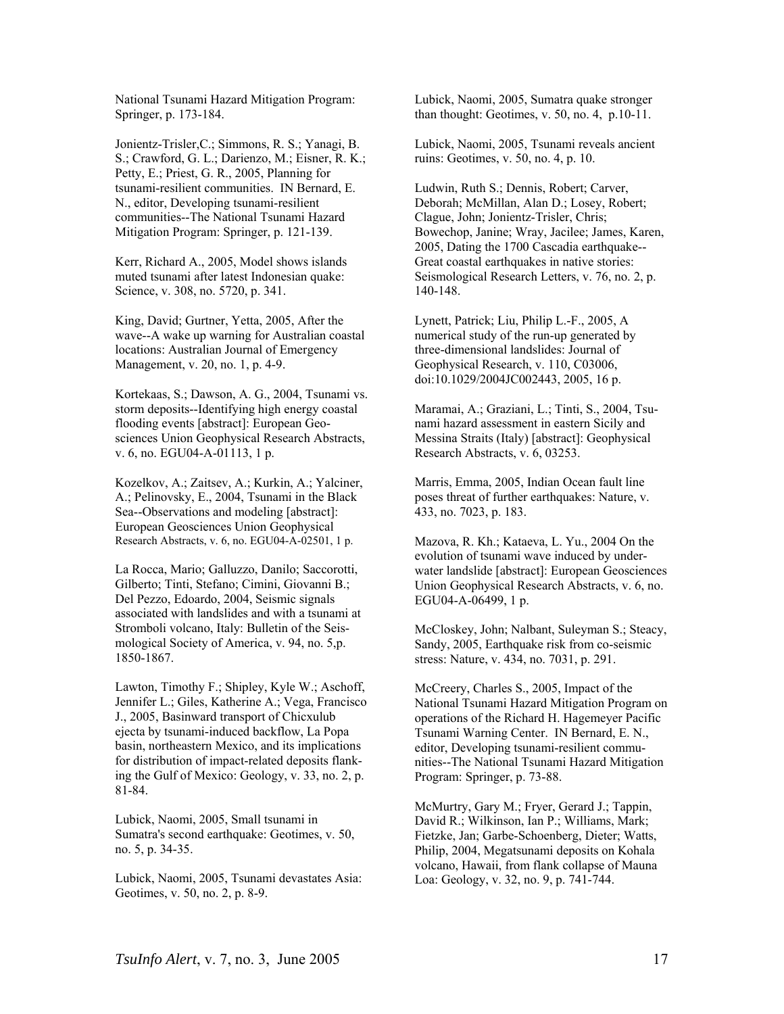National Tsunami Hazard Mitigation Program: Springer, p. 173-184.

Jonientz-Trisler,C.; Simmons, R. S.; Yanagi, B. S.; Crawford, G. L.; Darienzo, M.; Eisner, R. K.; Petty, E.; Priest, G. R., 2005, Planning for tsunami-resilient communities. IN Bernard, E. N., editor, Developing tsunami-resilient communities--The National Tsunami Hazard Mitigation Program: Springer, p. 121-139.

Kerr, Richard A., 2005, Model shows islands muted tsunami after latest Indonesian quake: Science, v. 308, no. 5720, p. 341.

King, David; Gurtner, Yetta, 2005, After the wave--A wake up warning for Australian coastal locations: Australian Journal of Emergency Management, v. 20, no. 1, p. 4-9.

Kortekaas, S.; Dawson, A. G., 2004, Tsunami vs. storm deposits--Identifying high energy coastal flooding events [abstract]: European Geosciences Union Geophysical Research Abstracts, v. 6, no. EGU04-A-01113, 1 p.

Kozelkov, A.; Zaitsev, A.; Kurkin, A.; Yalciner, A.; Pelinovsky, E., 2004, Tsunami in the Black Sea--Observations and modeling [abstract]: European Geosciences Union Geophysical Research Abstracts, v. 6, no. EGU04-A-02501, 1 p.

La Rocca, Mario; Galluzzo, Danilo; Saccorotti, Gilberto; Tinti, Stefano; Cimini, Giovanni B.; Del Pezzo, Edoardo, 2004, Seismic signals associated with landslides and with a tsunami at Stromboli volcano, Italy: Bulletin of the Seismological Society of America, v. 94, no. 5,p. 1850-1867.

Lawton, Timothy F.; Shipley, Kyle W.; Aschoff, Jennifer L.; Giles, Katherine A.; Vega, Francisco J., 2005, Basinward transport of Chicxulub ejecta by tsunami-induced backflow, La Popa basin, northeastern Mexico, and its implications for distribution of impact-related deposits flanking the Gulf of Mexico: Geology, v. 33, no. 2, p. 81-84.

Lubick, Naomi, 2005, Small tsunami in Sumatra's second earthquake: Geotimes, v. 50, no. 5, p. 34-35.

Lubick, Naomi, 2005, Tsunami devastates Asia: Geotimes, v. 50, no. 2, p. 8-9.

Lubick, Naomi, 2005, Sumatra quake stronger than thought: Geotimes, v. 50, no. 4, p.10-11.

Lubick, Naomi, 2005, Tsunami reveals ancient ruins: Geotimes, v. 50, no. 4, p. 10.

Ludwin, Ruth S.; Dennis, Robert; Carver, Deborah; McMillan, Alan D.; Losey, Robert; Clague, John; Jonientz-Trisler, Chris; Bowechop, Janine; Wray, Jacilee; James, Karen, 2005, Dating the 1700 Cascadia earthquake-- Great coastal earthquakes in native stories: Seismological Research Letters, v. 76, no. 2, p. 140-148.

Lynett, Patrick; Liu, Philip L.-F., 2005, A numerical study of the run-up generated by three-dimensional landslides: Journal of Geophysical Research, v. 110, C03006, doi:10.1029/2004JC002443, 2005, 16 p.

Maramai, A.; Graziani, L.; Tinti, S., 2004, Tsunami hazard assessment in eastern Sicily and Messina Straits (Italy) [abstract]: Geophysical Research Abstracts, v. 6, 03253.

Marris, Emma, 2005, Indian Ocean fault line poses threat of further earthquakes: Nature, v. 433, no. 7023, p. 183.

Mazova, R. Kh.; Kataeva, L. Yu., 2004 On the evolution of tsunami wave induced by underwater landslide [abstract]: European Geosciences Union Geophysical Research Abstracts, v. 6, no. EGU04-A-06499, 1 p.

McCloskey, John; Nalbant, Suleyman S.; Steacy, Sandy, 2005, Earthquake risk from co-seismic stress: Nature, v. 434, no. 7031, p. 291.

McCreery, Charles S., 2005, Impact of the National Tsunami Hazard Mitigation Program on operations of the Richard H. Hagemeyer Pacific Tsunami Warning Center. IN Bernard, E. N., editor, Developing tsunami-resilient communities--The National Tsunami Hazard Mitigation Program: Springer, p. 73-88.

McMurtry, Gary M.; Fryer, Gerard J.; Tappin, David R.; Wilkinson, Ian P.; Williams, Mark; Fietzke, Jan; Garbe-Schoenberg, Dieter; Watts, Philip, 2004, Megatsunami deposits on Kohala volcano, Hawaii, from flank collapse of Mauna Loa: Geology, v. 32, no. 9, p. 741-744.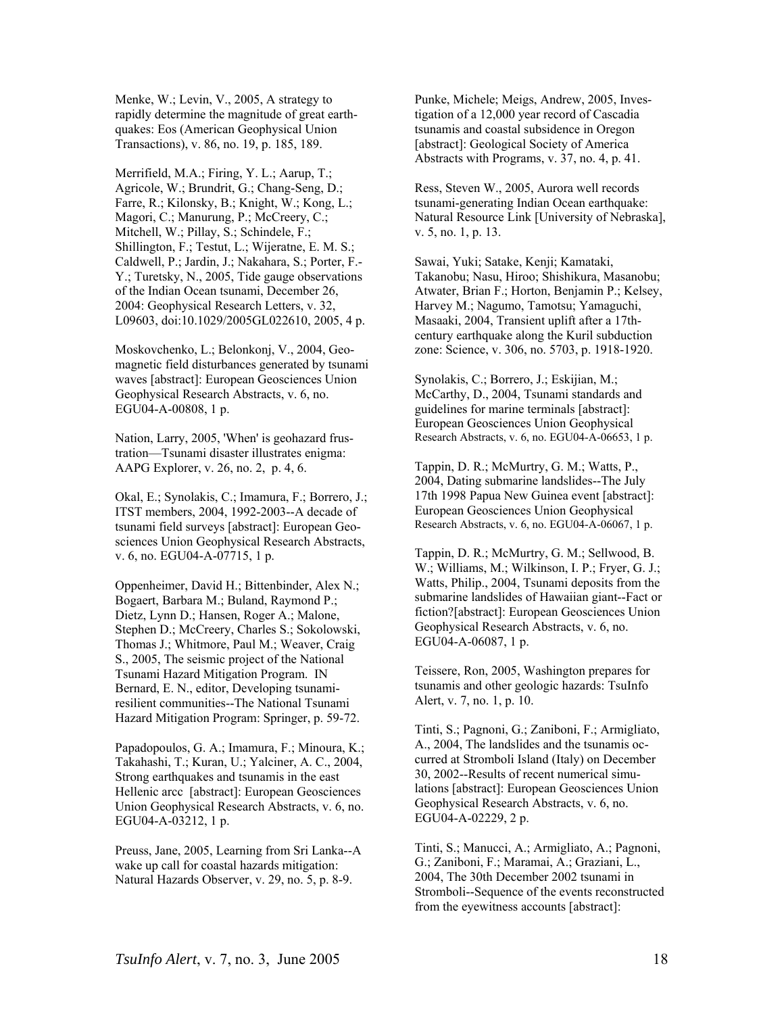Menke, W.; Levin, V., 2005, A strategy to rapidly determine the magnitude of great earthquakes: Eos (American Geophysical Union Transactions), v. 86, no. 19, p. 185, 189.

Merrifield, M.A.; Firing, Y. L.; Aarup, T.; Agricole, W.; Brundrit, G.; Chang-Seng, D.; Farre, R.; Kilonsky, B.; Knight, W.; Kong, L.; Magori, C.; Manurung, P.; McCreery, C.; Mitchell, W.; Pillay, S.; Schindele, F.; Shillington, F.; Testut, L.; Wijeratne, E. M. S.; Caldwell, P.; Jardin, J.; Nakahara, S.; Porter, F.- Y.; Turetsky, N., 2005, Tide gauge observations of the Indian Ocean tsunami, December 26, 2004: Geophysical Research Letters, v. 32, L09603, doi:10.1029/2005GL022610, 2005, 4 p.

Moskovchenko, L.; Belonkonj, V., 2004, Geomagnetic field disturbances generated by tsunami waves [abstract]: European Geosciences Union Geophysical Research Abstracts, v. 6, no. EGU04-A-00808, 1 p.

Nation, Larry, 2005, 'When' is geohazard frustration—Tsunami disaster illustrates enigma: AAPG Explorer, v. 26, no. 2, p. 4, 6.

Okal, E.; Synolakis, C.; Imamura, F.; Borrero, J.; ITST members, 2004, 1992-2003--A decade of tsunami field surveys [abstract]: European Geosciences Union Geophysical Research Abstracts, v. 6, no. EGU04-A-07715, 1 p.

Oppenheimer, David H.; Bittenbinder, Alex N.; Bogaert, Barbara M.; Buland, Raymond P.; Dietz, Lynn D.; Hansen, Roger A.; Malone, Stephen D.; McCreery, Charles S.; Sokolowski, Thomas J.; Whitmore, Paul M.; Weaver, Craig S., 2005, The seismic project of the National Tsunami Hazard Mitigation Program. IN Bernard, E. N., editor, Developing tsunamiresilient communities--The National Tsunami Hazard Mitigation Program: Springer, p. 59-72.

Papadopoulos, G. A.; Imamura, F.; Minoura, K.; Takahashi, T.; Kuran, U.; Yalciner, A. C., 2004, Strong earthquakes and tsunamis in the east Hellenic arcc [abstract]: European Geosciences Union Geophysical Research Abstracts, v. 6, no. EGU04-A-03212, 1 p.

Preuss, Jane, 2005, Learning from Sri Lanka--A wake up call for coastal hazards mitigation: Natural Hazards Observer, v. 29, no. 5, p. 8-9.

Punke, Michele; Meigs, Andrew, 2005, Investigation of a 12,000 year record of Cascadia tsunamis and coastal subsidence in Oregon [abstract]: Geological Society of America Abstracts with Programs, v. 37, no. 4, p. 41.

Ress, Steven W., 2005, Aurora well records tsunami-generating Indian Ocean earthquake: Natural Resource Link [University of Nebraska], v. 5, no. 1, p. 13.

Sawai, Yuki; Satake, Kenji; Kamataki, Takanobu; Nasu, Hiroo; Shishikura, Masanobu; Atwater, Brian F.; Horton, Benjamin P.; Kelsey, Harvey M.; Nagumo, Tamotsu; Yamaguchi, Masaaki, 2004, Transient uplift after a 17thcentury earthquake along the Kuril subduction zone: Science, v. 306, no. 5703, p. 1918-1920.

Synolakis, C.; Borrero, J.; Eskijian, M.; McCarthy, D., 2004, Tsunami standards and guidelines for marine terminals [abstract]: European Geosciences Union Geophysical Research Abstracts, v. 6, no. EGU04-A-06653, 1 p.

Tappin, D. R.; McMurtry, G. M.; Watts, P., 2004, Dating submarine landslides--The July 17th 1998 Papua New Guinea event [abstract]: European Geosciences Union Geophysical Research Abstracts, v. 6, no. EGU04-A-06067, 1 p.

Tappin, D. R.; McMurtry, G. M.; Sellwood, B. W.: Williams, M.: Wilkinson, I. P.: Fryer, G. J.: Watts, Philip., 2004, Tsunami deposits from the submarine landslides of Hawaiian giant--Fact or fiction?[abstract]: European Geosciences Union Geophysical Research Abstracts, v. 6, no. EGU04-A-06087, 1 p.

Teissere, Ron, 2005, Washington prepares for tsunamis and other geologic hazards: TsuInfo Alert, v. 7, no. 1, p. 10.

Tinti, S.; Pagnoni, G.; Zaniboni, F.; Armigliato, A., 2004, The landslides and the tsunamis occurred at Stromboli Island (Italy) on December 30, 2002--Results of recent numerical simulations [abstract]: European Geosciences Union Geophysical Research Abstracts, v. 6, no. EGU04-A-02229, 2 p.

Tinti, S.; Manucci, A.; Armigliato, A.; Pagnoni, G.; Zaniboni, F.; Maramai, A.; Graziani, L., 2004, The 30th December 2002 tsunami in Stromboli--Sequence of the events reconstructed from the eyewitness accounts [abstract]: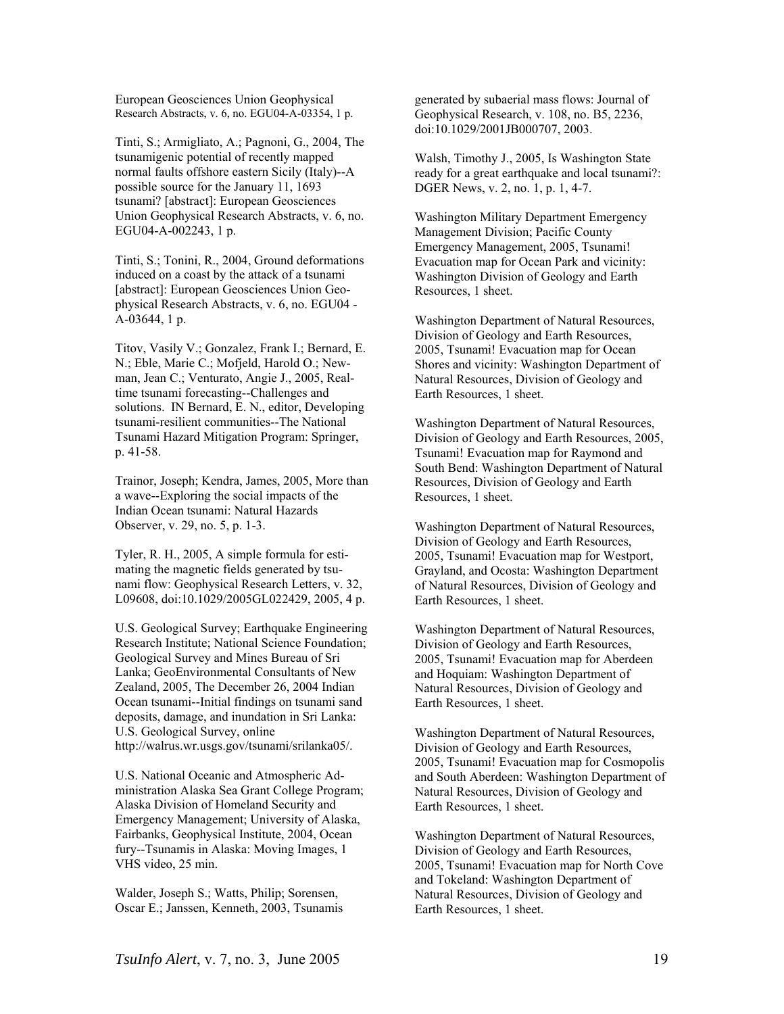European Geosciences Union Geophysical Research Abstracts, v. 6, no. EGU04-A-03354, 1 p.

Tinti, S.; Armigliato, A.; Pagnoni, G., 2004, The tsunamigenic potential of recently mapped normal faults offshore eastern Sicily (Italy)--A possible source for the January 11, 1693 tsunami? [abstract]: European Geosciences Union Geophysical Research Abstracts, v. 6, no. EGU04-A-002243, 1 p.

Tinti, S.; Tonini, R., 2004, Ground deformations induced on a coast by the attack of a tsunami [abstract]: European Geosciences Union Geophysical Research Abstracts, v. 6, no. EGU04 - A-03644, 1 p.

Titov, Vasily V.; Gonzalez, Frank I.; Bernard, E. N.; Eble, Marie C.; Mofjeld, Harold O.; Newman, Jean C.; Venturato, Angie J., 2005, Realtime tsunami forecasting--Challenges and solutions. IN Bernard, E. N., editor, Developing tsunami-resilient communities--The National Tsunami Hazard Mitigation Program: Springer, p. 41-58.

Trainor, Joseph; Kendra, James, 2005, More than a wave--Exploring the social impacts of the Indian Ocean tsunami: Natural Hazards Observer, v. 29, no. 5, p. 1-3.

Tyler, R. H., 2005, A simple formula for estimating the magnetic fields generated by tsunami flow: Geophysical Research Letters, v. 32, L09608, doi:10.1029/2005GL022429, 2005, 4 p.

U.S. Geological Survey; Earthquake Engineering Research Institute; National Science Foundation; Geological Survey and Mines Bureau of Sri Lanka; GeoEnvironmental Consultants of New Zealand, 2005, The December 26, 2004 Indian Ocean tsunami--Initial findings on tsunami sand deposits, damage, and inundation in Sri Lanka: U.S. Geological Survey, online http://walrus.wr.usgs.gov/tsunami/srilanka05/.

U.S. National Oceanic and Atmospheric Administration Alaska Sea Grant College Program; Alaska Division of Homeland Security and Emergency Management; University of Alaska, Fairbanks, Geophysical Institute, 2004, Ocean fury--Tsunamis in Alaska: Moving Images, 1 VHS video, 25 min.

Walder, Joseph S.; Watts, Philip; Sorensen, Oscar E.; Janssen, Kenneth, 2003, Tsunamis generated by subaerial mass flows: Journal of Geophysical Research, v. 108, no. B5, 2236, doi:10.1029/2001JB000707, 2003.

Walsh, Timothy J., 2005, Is Washington State ready for a great earthquake and local tsunami?: DGER News, v. 2, no. 1, p. 1, 4-7.

Washington Military Department Emergency Management Division; Pacific County Emergency Management, 2005, Tsunami! Evacuation map for Ocean Park and vicinity: Washington Division of Geology and Earth Resources, 1 sheet.

Washington Department of Natural Resources, Division of Geology and Earth Resources, 2005, Tsunami! Evacuation map for Ocean Shores and vicinity: Washington Department of Natural Resources, Division of Geology and Earth Resources, 1 sheet.

Washington Department of Natural Resources, Division of Geology and Earth Resources, 2005, Tsunami! Evacuation map for Raymond and South Bend: Washington Department of Natural Resources, Division of Geology and Earth Resources, 1 sheet.

Washington Department of Natural Resources, Division of Geology and Earth Resources, 2005, Tsunami! Evacuation map for Westport, Grayland, and Ocosta: Washington Department of Natural Resources, Division of Geology and Earth Resources, 1 sheet.

Washington Department of Natural Resources, Division of Geology and Earth Resources, 2005, Tsunami! Evacuation map for Aberdeen and Hoquiam: Washington Department of Natural Resources, Division of Geology and Earth Resources, 1 sheet.

Washington Department of Natural Resources, Division of Geology and Earth Resources, 2005, Tsunami! Evacuation map for Cosmopolis and South Aberdeen: Washington Department of Natural Resources, Division of Geology and Earth Resources, 1 sheet.

Washington Department of Natural Resources, Division of Geology and Earth Resources, 2005, Tsunami! Evacuation map for North Cove and Tokeland: Washington Department of Natural Resources, Division of Geology and Earth Resources, 1 sheet.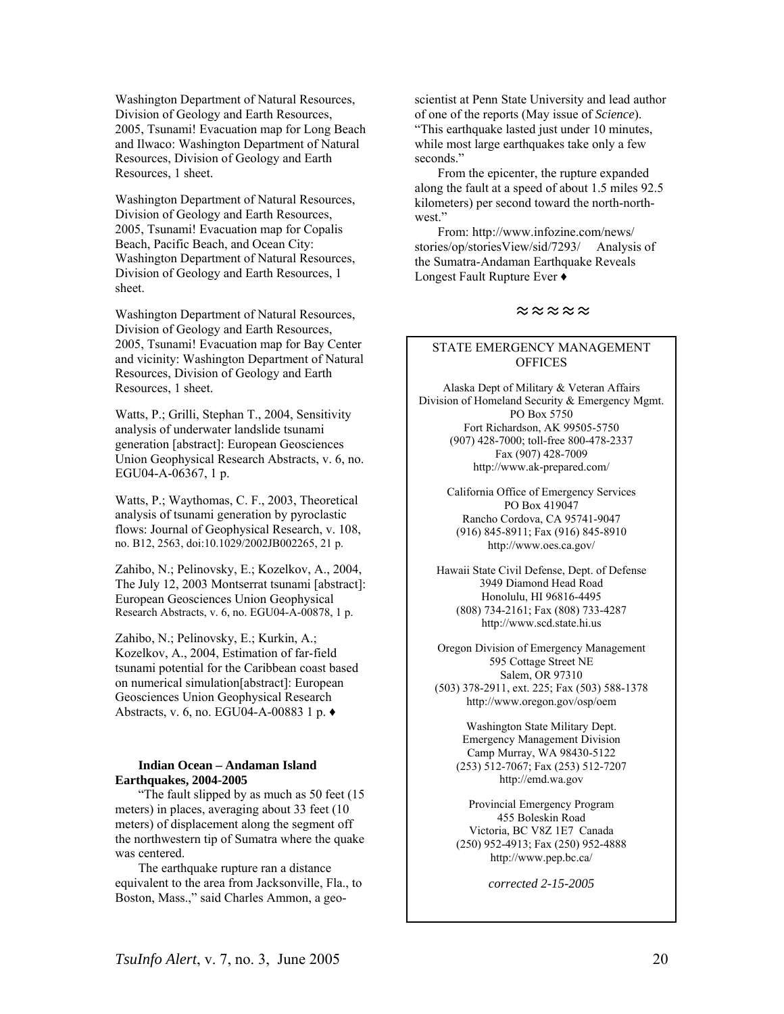Washington Department of Natural Resources, Division of Geology and Earth Resources, 2005, Tsunami! Evacuation map for Long Beach and Ilwaco: Washington Department of Natural Resources, Division of Geology and Earth Resources, 1 sheet.

Washington Department of Natural Resources, Division of Geology and Earth Resources, 2005, Tsunami! Evacuation map for Copalis Beach, Pacific Beach, and Ocean City: Washington Department of Natural Resources, Division of Geology and Earth Resources, 1 sheet.

Washington Department of Natural Resources, Division of Geology and Earth Resources, 2005, Tsunami! Evacuation map for Bay Center and vicinity: Washington Department of Natural Resources, Division of Geology and Earth Resources, 1 sheet.

Watts, P.; Grilli, Stephan T., 2004, Sensitivity analysis of underwater landslide tsunami generation [abstract]: European Geosciences Union Geophysical Research Abstracts, v. 6, no. EGU04-A-06367, 1 p.

Watts, P.; Waythomas, C. F., 2003, Theoretical analysis of tsunami generation by pyroclastic flows: Journal of Geophysical Research, v. 108, no. B12, 2563, doi:10.1029/2002JB002265, 21 p.

Zahibo, N.; Pelinovsky, E.; Kozelkov, A., 2004, The July 12, 2003 Montserrat tsunami [abstract]: European Geosciences Union Geophysical Research Abstracts, v. 6, no. EGU04-A-00878, 1 p.

Zahibo, N.; Pelinovsky, E.; Kurkin, A.; Kozelkov, A., 2004, Estimation of far-field tsunami potential for the Caribbean coast based on numerical simulation[abstract]: European Geosciences Union Geophysical Research Abstracts, v. 6, no. EGU04-A-00883 1 p. ♦

### **Indian Ocean – Andaman Island Earthquakes, 2004-2005**

"The fault slipped by as much as 50 feet (15 meters) in places, averaging about 33 feet (10 meters) of displacement along the segment off the northwestern tip of Sumatra where the quake was centered.

The earthquake rupture ran a distance equivalent to the area from Jacksonville, Fla., to Boston, Mass.," said Charles Ammon, a geoscientist at Penn State University and lead author of one of the reports (May issue of *Science*). "This earthquake lasted just under 10 minutes, while most large earthquakes take only a few seconds."

From the epicenter, the rupture expanded along the fault at a speed of about 1.5 miles 92.5 kilometers) per second toward the north-northwest."

From: http://www.infozine.com/news/ stories/op/storiesView/sid/7293/ Analysis of the Sumatra-Andaman Earthquake Reveals Longest Fault Rupture Ever ♦

### ≈≈≈≈≈

### STATE EMERGENCY MANAGEMENT **OFFICES**

Alaska Dept of Military & Veteran Affairs Division of Homeland Security & Emergency Mgmt. PO Box 5750 Fort Richardson, AK 99505-5750 (907) 428-7000; toll-free 800-478-2337 Fax (907) 428-7009 http://www.ak-prepared.com/

> California Office of Emergency Services PO Box 419047 Rancho Cordova, CA 95741-9047 (916) 845-8911; Fax (916) 845-8910 http://www.oes.ca.gov/

Hawaii State Civil Defense, Dept. of Defense 3949 Diamond Head Road Honolulu, HI 96816-4495 (808) 734-2161; Fax (808) 733-4287 http://www.scd.state.hi.us

Oregon Division of Emergency Management 595 Cottage Street NE Salem, OR 97310 (503) 378-2911, ext. 225; Fax (503) 588-1378 http://www.oregon.gov/osp/oem

> Washington State Military Dept. Emergency Management Division Camp Murray, WA 98430-5122 (253) 512-7067; Fax (253) 512-7207 http://emd.wa.gov

> Provincial Emergency Program 455 Boleskin Road Victoria, BC V8Z 1E7 Canada (250) 952-4913; Fax (250) 952-4888 http://www.pep.bc.ca/

> > *corrected 2-15-2005*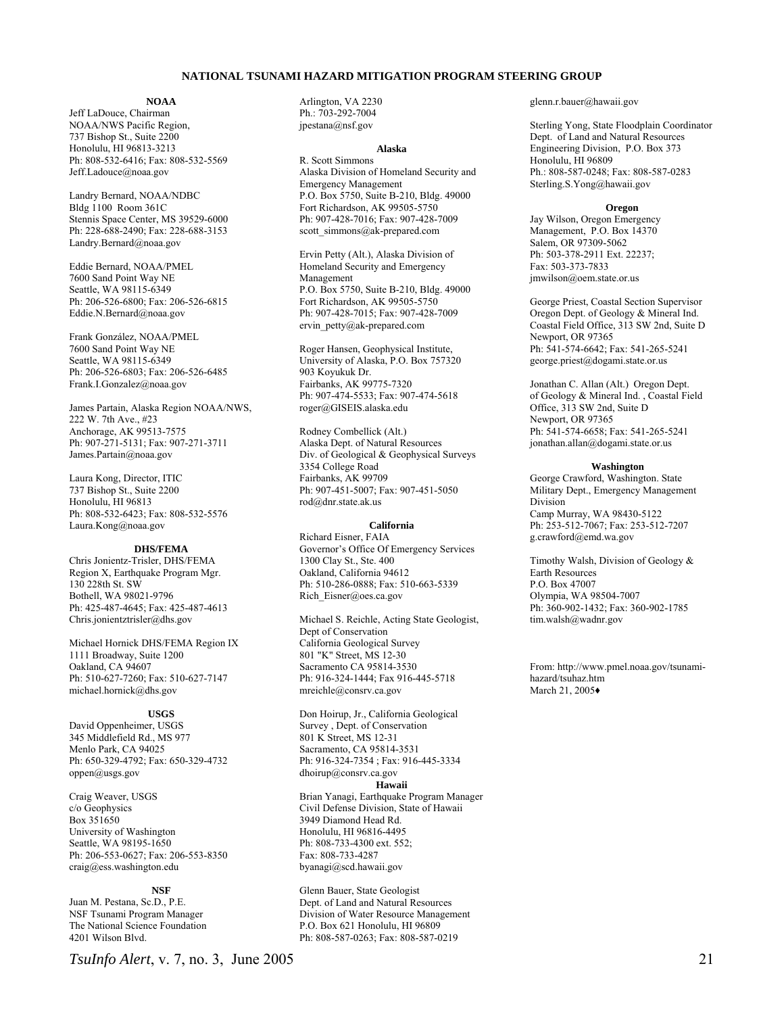#### **NATIONAL TSUNAMI HAZARD MITIGATION PROGRAM STEERING GROUP**

#### **NOAA**

Jeff LaDouce, Chairman NOAA/NWS Pacific Region, 737 Bishop St., Suite 2200 Honolulu, HI 96813-3213 Ph: 808-532-6416; Fax: 808-532-5569 Jeff.Ladouce@noaa.gov

Landry Bernard, NOAA/NDBC Bldg 1100 Room 361C Stennis Space Center, MS 39529-6000 Ph: 228-688-2490; Fax: 228-688-3153 Landry.Bernard@noaa.gov

Eddie Bernard, NOAA/PMEL 7600 Sand Point Way NE Seattle, WA 98115-6349 Ph: 206-526-6800; Fax: 206-526-6815 Eddie.N.Bernard@noaa.gov

Frank González, NOAA/PMEL 7600 Sand Point Way NE Seattle, WA 98115-6349 Ph: 206-526-6803; Fax: 206-526-6485 Frank.I.Gonzalez@noaa.gov

James Partain, Alaska Region NOAA/NWS, 222 W. 7th Ave., #23 Anchorage, AK 99513-7575 Ph: 907-271-5131; Fax: 907-271-3711 James.Partain@noaa.gov

Laura Kong, Director, ITIC 737 Bishop St., Suite 2200 Honolulu, HI 96813 Ph: 808-532-6423; Fax: 808-532-5576 Laura.Kong@noaa.gov

#### **DHS/FEMA**

Chris Jonientz-Trisler, DHS/FEMA Region X, Earthquake Program Mgr. 130 228th St. SW Bothell, WA 98021-9796 Ph: 425-487-4645; Fax: 425-487-4613 Chris.jonientztrisler@dhs.gov

Michael Hornick DHS/FEMA Region IX 1111 Broadway, Suite 1200 Oakland, CA 94607 Ph: 510-627-7260; Fax: 510-627-7147 michael.hornick@dhs.gov

#### **USGS**

David Oppenheimer, USGS 345 Middlefield Rd., MS 977 Menlo Park, CA 94025 Ph: 650-329-4792; Fax: 650-329-4732 oppen@usgs.gov

Craig Weaver, USGS c/o Geophysics Box 351650 University of Washington Seattle, WA 98195-1650 Ph: 206-553-0627; Fax: 206-553-8350 craig@ess.washington.edu

**NSF**  Juan M. Pestana, Sc.D., P.E. NSF Tsunami Program Manager The National Science Foundation 4201 Wilson Blvd.

Arlington, VA 2230 Ph.: 703-292-7004 jpestana@nsf.gov

#### **Alaska**

R. Scott Simmons Alaska Division of Homeland Security and Emergency Management P.O. Box 5750, Suite B-210, Bldg. 49000 Fort Richardson, AK 99505-5750 Ph: 907-428-7016; Fax: 907-428-7009 scott\_simmons@ak-prepared.com

Ervin Petty (Alt.), Alaska Division of Homeland Security and Emergency Management P.O. Box 5750, Suite B-210, Bldg. 49000 Fort Richardson, AK 99505-5750 Ph: 907-428-7015; Fax: 907-428-7009 ervin petty@ak-prepared.com

Roger Hansen, Geophysical Institute, University of Alaska, P.O. Box 757320 903 Koyukuk Dr. Fairbanks, AK 99775-7320 Ph: 907-474-5533; Fax: 907-474-5618 roger@GISEIS.alaska.edu

Rodney Combellick (Alt.) Alaska Dept. of Natural Resources Div. of Geological & Geophysical Surveys 3354 College Road Fairbanks, AK 99709 Ph: 907-451-5007; Fax: 907-451-5050 rod@dnr.state.ak.us

#### **California**

Richard Eisner, FAIA Governor's Office Of Emergency Services 1300 Clay St., Ste. 400 Oakland, California 94612 Ph: 510-286-0888; Fax: 510-663-5339 Rich\_Eisner@oes.ca.gov

Michael S. Reichle, Acting State Geologist, Dept of Conservation California Geological Survey 801 "K" Street, MS 12-30 Sacramento CA 95814-3530 Ph: 916-324-1444; Fax 916-445-5718 mreichle@consrv.ca.gov

Don Hoirup, Jr., California Geological Survey , Dept. of Conservation 801 K Street, MS 12-31 Sacramento, CA 95814-3531 Ph: 916-324-7354 ; Fax: 916-445-3334 dhoirup@consrv.ca.gov

#### **Hawaii**

Brian Yanagi, Earthquake Program Manager Civil Defense Division, State of Hawaii 3949 Diamond Head Rd. Honolulu, HI 96816-4495 Ph: 808-733-4300 ext. 552; Fax: 808-733-4287 byanagi@scd.hawaii.gov

Glenn Bauer, State Geologist Dept. of Land and Natural Resources Division of Water Resource Management P.O. Box 621 Honolulu, HI 96809 Ph: 808-587-0263; Fax: 808-587-0219

glenn.r.bauer@hawaii.gov

Sterling Yong, State Floodplain Coordinator Dept. of Land and Natural Resources Engineering Division, P.O. Box 373 Honolulu, HI 96809 Ph.: 808-587-0248; Fax: 808-587-0283 Sterling.S.Yong@hawaii.gov

#### **Oregon**

Jay Wilson, Oregon Emergency Management, P.O. Box 14370 Salem, OR 97309-5062 Ph: 503-378-2911 Ext. 22237; Fax: 503-373-7833 jmwilson@oem.state.or.us

George Priest, Coastal Section Supervisor Oregon Dept. of Geology & Mineral Ind. Coastal Field Office, 313 SW 2nd, Suite D Newport, OR 97365 Ph: 541-574-6642; Fax: 541-265-5241 george.priest@dogami.state.or.us

Jonathan C. Allan (Alt.) Oregon Dept. of Geology & Mineral Ind. , Coastal Field Office, 313 SW 2nd, Suite D Newport, OR 97365 Ph: 541-574-6658; Fax: 541-265-5241 jonathan.allan@dogami.state.or.us

#### **Washington**

George Crawford, Washington. State Military Dept., Emergency Management Division Camp Murray, WA 98430-5122 Ph: 253-512-7067; Fax: 253-512-7207 g.crawford@emd.wa.gov

Timothy Walsh, Division of Geology & Earth Resources P.O. Box 47007 Olympia, WA 98504-7007 Ph: 360-902-1432; Fax: 360-902-1785 tim.walsh@wadnr.gov

From: http://www.pmel.noaa.gov/tsunamihazard/tsuhaz.htm March 21, 2005♦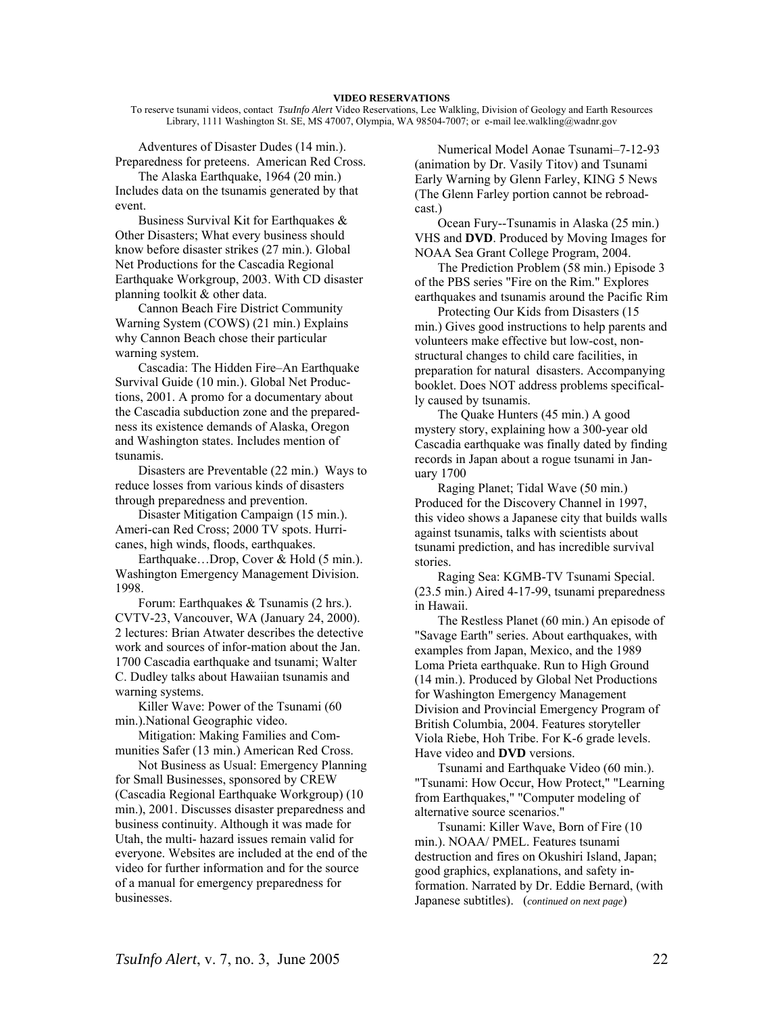To reserve tsunami videos, contact *TsuInfo Alert* Video Reservations, Lee Walkling, Division of Geology and Earth Resources Library, 1111 Washington St. SE, MS 47007, Olympia, WA 98504-7007; or e-mail lee.walkling@wadnr.gov

Adventures of Disaster Dudes (14 min.). Preparedness for preteens. American Red Cross.

The Alaska Earthquake, 1964 (20 min.) Includes data on the tsunamis generated by that event.

Business Survival Kit for Earthquakes  $\&$ Other Disasters; What every business should know before disaster strikes (27 min.). Global Net Productions for the Cascadia Regional Earthquake Workgroup, 2003. With CD disaster planning toolkit & other data.

Cannon Beach Fire District Community Warning System (COWS) (21 min.) Explains why Cannon Beach chose their particular warning system.

Cascadia: The Hidden Fire–An Earthquake Survival Guide (10 min.). Global Net Productions, 2001. A promo for a documentary about the Cascadia subduction zone and the preparedness its existence demands of Alaska, Oregon and Washington states. Includes mention of tsunamis.

Disasters are Preventable (22 min.) Ways to reduce losses from various kinds of disasters through preparedness and prevention.

Disaster Mitigation Campaign (15 min.). Ameri-can Red Cross; 2000 TV spots. Hurricanes, high winds, floods, earthquakes.

Earthquake...Drop, Cover & Hold (5 min.). Washington Emergency Management Division. 1998.

Forum: Earthquakes & Tsunamis (2 hrs.). CVTV-23, Vancouver, WA (January 24, 2000). 2 lectures: Brian Atwater describes the detective work and sources of infor-mation about the Jan. 1700 Cascadia earthquake and tsunami; Walter C. Dudley talks about Hawaiian tsunamis and warning systems.

Killer Wave: Power of the Tsunami (60 min.).National Geographic video.

Mitigation: Making Families and Communities Safer (13 min.) American Red Cross.

Not Business as Usual: Emergency Planning for Small Businesses, sponsored by CREW (Cascadia Regional Earthquake Workgroup) (10 min.), 2001. Discusses disaster preparedness and business continuity. Although it was made for Utah, the multi- hazard issues remain valid for everyone. Websites are included at the end of the video for further information and for the source of a manual for emergency preparedness for businesses.

Numerical Model Aonae Tsunami–7-12-93 (animation by Dr. Vasily Titov) and Tsunami Early Warning by Glenn Farley, KING 5 News (The Glenn Farley portion cannot be rebroadcast.)

Ocean Fury--Tsunamis in Alaska (25 min.) VHS and **DVD**. Produced by Moving Images for NOAA Sea Grant College Program, 2004.

The Prediction Problem (58 min.) Episode 3 of the PBS series "Fire on the Rim." Explores earthquakes and tsunamis around the Pacific Rim

Protecting Our Kids from Disasters (15 min.) Gives good instructions to help parents and volunteers make effective but low-cost, nonstructural changes to child care facilities, in preparation for natural disasters. Accompanying booklet. Does NOT address problems specifically caused by tsunamis.

The Quake Hunters (45 min.) A good mystery story, explaining how a 300-year old Cascadia earthquake was finally dated by finding records in Japan about a rogue tsunami in January 1700

Raging Planet; Tidal Wave (50 min.) Produced for the Discovery Channel in 1997, this video shows a Japanese city that builds walls against tsunamis, talks with scientists about tsunami prediction, and has incredible survival stories.

Raging Sea: KGMB-TV Tsunami Special. (23.5 min.) Aired 4-17-99, tsunami preparedness in Hawaii.

The Restless Planet (60 min.) An episode of "Savage Earth" series. About earthquakes, with examples from Japan, Mexico, and the 1989 Loma Prieta earthquake. Run to High Ground (14 min.). Produced by Global Net Productions for Washington Emergency Management Division and Provincial Emergency Program of British Columbia, 2004. Features storyteller Viola Riebe, Hoh Tribe. For K-6 grade levels. Have video and **DVD** versions.

Tsunami and Earthquake Video (60 min.). "Tsunami: How Occur, How Protect," "Learning from Earthquakes," "Computer modeling of alternative source scenarios."

Tsunami: Killer Wave, Born of Fire (10 min.). NOAA/ PMEL. Features tsunami destruction and fires on Okushiri Island, Japan; good graphics, explanations, and safety information. Narrated by Dr. Eddie Bernard, (with Japanese subtitles). (*continued on next page*)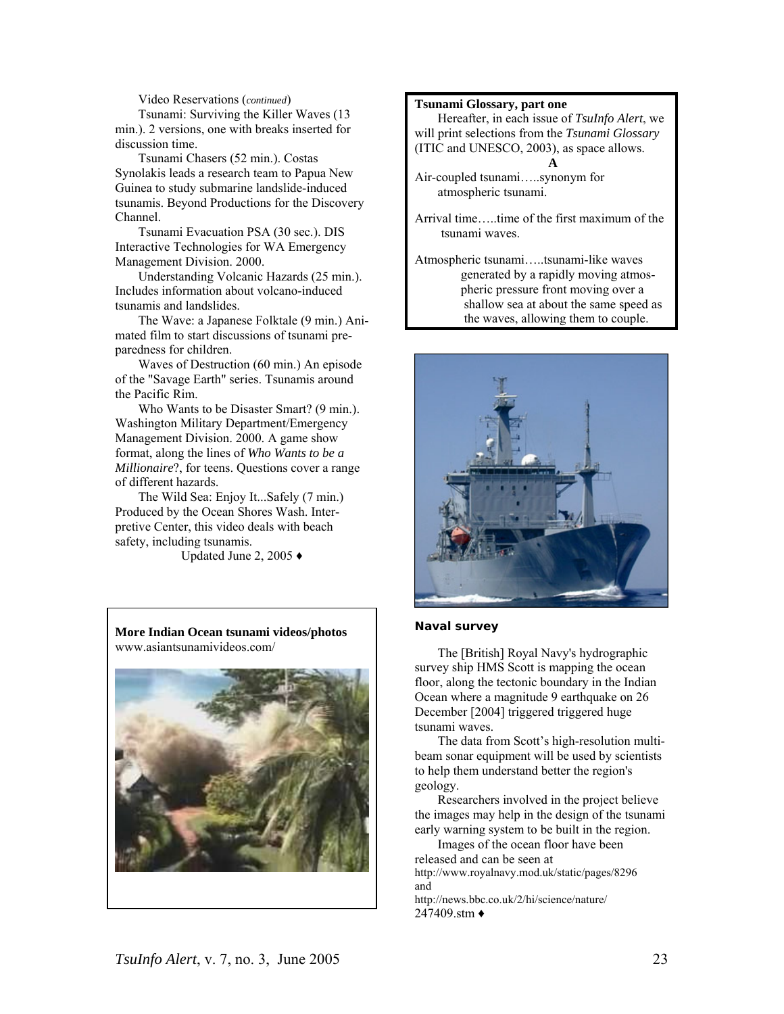Video Reservations (*continued*)

Tsunami: Surviving the Killer Waves (13 min.). 2 versions, one with breaks inserted for discussion time.

Tsunami Chasers (52 min.). Costas Synolakis leads a research team to Papua New Guinea to study submarine landslide-induced tsunamis. Beyond Productions for the Discovery Channel.

Tsunami Evacuation PSA (30 sec.). DIS Interactive Technologies for WA Emergency Management Division. 2000.

Understanding Volcanic Hazards (25 min.). Includes information about volcano-induced tsunamis and landslides.

The Wave: a Japanese Folktale (9 min.) Animated film to start discussions of tsunami preparedness for children.

Waves of Destruction (60 min.) An episode of the "Savage Earth" series. Tsunamis around the Pacific Rim.

Who Wants to be Disaster Smart? (9 min.). Washington Military Department/Emergency Management Division. 2000. A game show format, along the lines of *Who Wants to be a Millionaire*?, for teens. Questions cover a range of different hazards.

The Wild Sea: Enjoy It...Safely (7 min.) Produced by the Ocean Shores Wash. Interpretive Center, this video deals with beach safety, including tsunamis.

Updated June 2, 2005 ♦



### **Tsunami Glossary, part one**

Hereafter, in each issue of *TsuInfo Alert*, we will print selections from the *Tsunami Glossary* (ITIC and UNESCO, 2003), as space allows. **A** 

Air-coupled tsunami…..synonym for atmospheric tsunami.

Arrival time…..time of the first maximum of the tsunami waves.

Atmospheric tsunami…..tsunami-like waves generated by a rapidly moving atmospheric pressure front moving over a shallow sea at about the same speed as the waves, allowing them to couple.



### **Naval survey**

The [British] Royal Navy's hydrographic survey ship HMS Scott is mapping the ocean floor, along the tectonic boundary in the Indian Ocean where a magnitude 9 earthquake on 26 December [2004] triggered triggered huge tsunami waves.

The data from Scott's high-resolution multibeam sonar equipment will be used by scientists to help them understand better the region's geology.

Researchers involved in the project believe the images may help in the design of the tsunami early warning system to be built in the region.

Images of the ocean floor have been released and can be seen at http://www.royalnavy.mod.uk/static/pages/8296 and

http://news.bbc.co.uk/2/hi/science/nature/ 247409 stm ♦